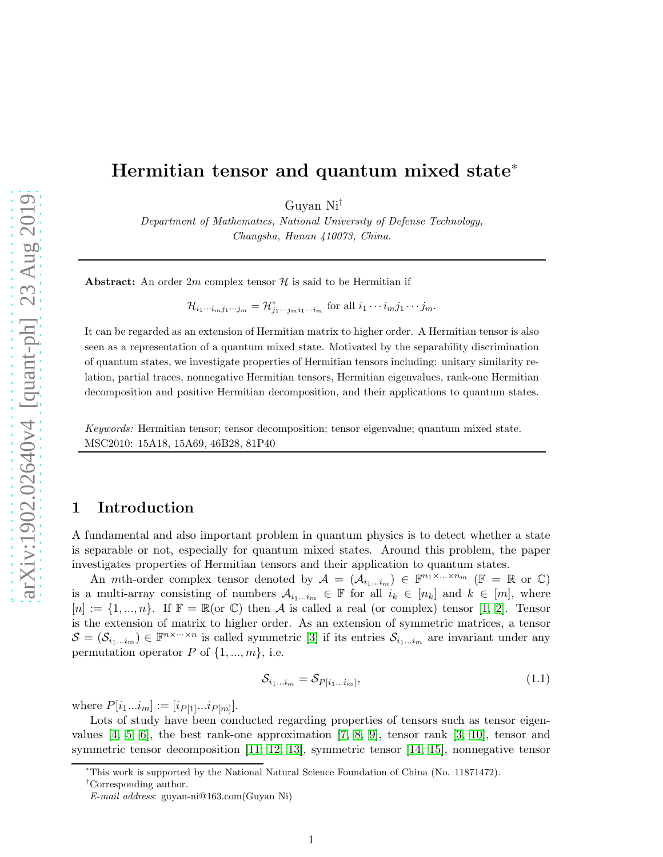# Hermitian tensor and quantum mixed state<sup>∗</sup>

Guyan Ni†

Department of Mathematics, National University of Defense Technology, Changsha, Hunan 410073, China.

**Abstract:** An order 2m complex tensor  $\mathcal{H}$  is said to be Hermitian if

 $\mathcal{H}_{i_1\cdots i_m j_1\cdots j_m} = \mathcal{H}_{j_1\cdots j_m i_1\cdots i_m}^*$  for all  $i_1\cdots i_m j_1\cdots j_m$ .

It can be regarded as an extension of Hermitian matrix to higher order. A Hermitian tensor is also seen as a representation of a quantum mixed state. Motivated by the separability discrimination of quantum states, we investigate properties of Hermitian tensors including: unitary similarity relation, partial traces, nonnegative Hermitian tensors, Hermitian eigenvalues, rank-one Hermitian decomposition and positive Hermitian decomposition, and their applications to quantum states.

Keywords: Hermitian tensor; tensor decomposition; tensor eigenvalue; quantum mixed state. MSC2010: 15A18, 15A69, 46B28, 81P40

## 1 Introduction

A fundamental and also important problem in quantum physics is to detect whether a state is separable or not, especially for quantum mixed states. Around this problem, the paper investigates properties of Hermitian tensors and their application to quantum states.

An *mth*-order complex tensor denoted by  $A = (A_{i_1...i_m}) \in \mathbb{F}^{n_1 \times ... \times n_m}$  ( $\mathbb{F} = \mathbb{R}$  or  $\mathbb{C}$ ) is a multi-array consisting of numbers  $A_{i_1...i_m} \in \mathbb{F}$  for all  $i_k \in [n_k]$  and  $k \in [m]$ , where  $[n] := \{1, ..., n\}$ . If  $\mathbb{F} = \mathbb{R}(\text{or } \mathbb{C})$  then A is called a real (or complex) tensor [\[1,](#page-14-0) [2\]](#page-14-1). Tensor is the extension of matrix to higher order. As an extension of symmetric matrices, a tensor  $S = (\mathcal{S}_{i_1...i_m}) \in \mathbb{F}^{n \times \dots \times n}$  is called symmetric [\[3\]](#page-14-2) if its entries  $\mathcal{S}_{i_1...i_m}$  are invariant under any permutation operator P of  $\{1, ..., m\}$ , i.e.

$$
\mathcal{S}_{i_1\ldots i_m} = \mathcal{S}_{P[i_1\ldots i_m]},\tag{1.1}
$$

where  $P[i_1...i_m] := [i_{P[1]}...i_{P[m]}].$ 

Lots of study have been conducted regarding properties of tensors such as tensor eigenvalues  $[4, 5, 6]$  $[4, 5, 6]$  $[4, 5, 6]$ , the best rank-one approximation  $[7, 8, 9]$  $[7, 8, 9]$  $[7, 8, 9]$ , tensor rank  $[3, 10]$  $[3, 10]$ , tensor and symmetric tensor decomposition [\[11,](#page-15-7) [12,](#page-15-8) [13\]](#page-15-9), symmetric tensor [\[14,](#page-15-10) [15\]](#page-15-11), nonnegative tensor

<sup>∗</sup>This work is supported by the National Natural Science Foundation of China (No. 11871472).

<sup>†</sup>Corresponding author.

E-mail address: guyan-ni@163.com(Guyan Ni)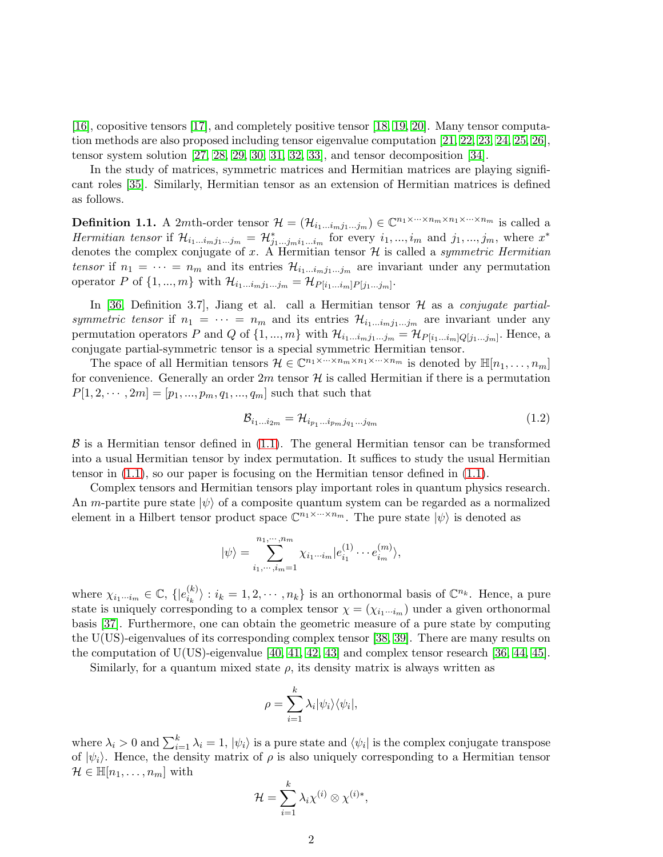[\[16\]](#page-15-12), copositive tensors [\[17\]](#page-15-13), and completely positive tensor [\[18,](#page-15-14) [19,](#page-15-15) [20\]](#page-15-16). Many tensor computation methods are also proposed including tensor eigenvalue computation [\[21,](#page-16-0) [22,](#page-16-1) [23,](#page-16-2) [24,](#page-16-3) [25,](#page-16-4) [26\]](#page-16-5), tensor system solution [\[27,](#page-16-6) [28,](#page-16-7) [29,](#page-16-8) [30,](#page-16-9) [31,](#page-16-10) [32,](#page-16-11) [33\]](#page-16-12), and tensor decomposition [\[34\]](#page-16-13).

In the study of matrices, symmetric matrices and Hermitian matrices are playing significant roles [\[35\]](#page-16-14). Similarly, Hermitian tensor as an extension of Hermitian matrices is defined as follows.

<span id="page-1-0"></span>**Definition 1.1.** A 2*mth*-order tensor  $\mathcal{H} = (\mathcal{H}_{i_1...i_mj_1...j_m}) \in \mathbb{C}^{n_1 \times \cdots \times n_m \times n_1 \times \cdots \times n_m}$  is called a Hermitian tensor if  $\mathcal{H}_{i_1...i_mj_1...j_m} = \mathcal{H}_{j_1...j_mi_1...i_m}^*$  for every  $i_1,...,i_m$  and  $j_1,...,j_m$ , where  $x^*$ denotes the complex conjugate of x. A Hermitian tensor  $\mathcal H$  is called a *symmetric Hermitian* tensor if  $n_1 = \cdots = n_m$  and its entries  $\mathcal{H}_{i_1...i_mj_1...j_m}$  are invariant under any permutation operator P of  $\{1, ..., m\}$  with  $\mathcal{H}_{i_1...i_m j_1...j_m} = \mathcal{H}_{P[i_1...i_m]P[j_1...j_m]}$ .

In [\[36,](#page-16-15) Definition 3.7], Jiang et al. call a Hermitian tensor  $\mathcal{H}$  as a *conjugate partial*symmetric tensor if  $n_1 = \cdots = n_m$  and its entries  $\mathcal{H}_{i_1...i_mj_1...j_m}$  are invariant under any permutation operators P and Q of  $\{1, ..., m\}$  with  $\mathcal{H}_{i_1...i_mj_1...j_m} = \mathcal{H}_{P[i_1...i_m]Q[j_1...j_m]}$ . Hence, a conjugate partial-symmetric tensor is a special symmetric Hermitian tensor.

The space of all Hermitian tensors  $\mathcal{H} \in \mathbb{C}^{n_1 \times \cdots \times n_m \times n_1 \times \cdots \times n_m}$  is denoted by  $\mathbb{H}[n_1,\ldots,n_m]$ for convenience. Generally an order  $2m$  tensor  $\mathcal H$  is called Hermitian if there is a permutation  $P[1, 2, \dots, 2m] = [p_1, ..., p_m, q_1, ..., q_m]$  such that such that

$$
\mathcal{B}_{i_1\ldots i_{2m}} = \mathcal{H}_{i_{p_1}\ldots i_{p_m}j_{q_1}\ldots j_{q_m}} \tag{1.2}
$$

 $\beta$  is a Hermitian tensor defined in [\(1.1\)](#page-1-0). The general Hermitian tensor can be transformed into a usual Hermitian tensor by index permutation. It suffices to study the usual Hermitian tensor in  $(1.1)$ , so our paper is focusing on the Hermitian tensor defined in  $(1.1)$ .

Complex tensors and Hermitian tensors play important roles in quantum physics research. An m-partite pure state  $|\psi\rangle$  of a composite quantum system can be regarded as a normalized element in a Hilbert tensor product space  $\mathbb{C}^{n_1 \times \cdots \times n_m}$ . The pure state  $|\psi\rangle$  is denoted as

$$
|\psi\rangle = \sum_{i_1,\dots,i_m=1}^{n_1,\dots,n_m} \chi_{i_1\cdots i_m} |e_{i_1}^{(1)} \cdots e_{i_m}^{(m)}\rangle,
$$

where  $\chi_{i_1\cdots i_m} \in \mathbb{C}, \{ |e_{i_k}^{(k)}\rangle\}$  $\langle k \rangle : i_k = 1, 2, \dots, n_k$  is an orthonormal basis of  $\mathbb{C}^{n_k}$ . Hence, a pure state is uniquely corresponding to a complex tensor  $\chi = (\chi_{i_1\cdots i_m})$  under a given orthonormal basis [\[37\]](#page-16-16). Furthermore, one can obtain the geometric measure of a pure state by computing the U(US)-eigenvalues of its corresponding complex tensor [\[38,](#page-17-0) [39\]](#page-17-1). There are many results on the computation of U(US)-eigenvalue [\[40,](#page-17-2) [41,](#page-17-3) [42,](#page-17-4) [43\]](#page-17-5) and complex tensor research [\[36,](#page-16-15) [44,](#page-17-6) [45\]](#page-17-7).

Similarly, for a quantum mixed state  $\rho$ , its density matrix is always written as

$$
\rho = \sum_{i=1}^{k} \lambda_i |\psi_i\rangle \langle \psi_i|,
$$

where  $\lambda_i > 0$  and  $\sum_{i=1}^k \lambda_i = 1$ ,  $|\psi_i\rangle$  is a pure state and  $\langle \psi_i |$  is the complex conjugate transpose of  $|\psi_i\rangle$ . Hence, the density matrix of  $\rho$  is also uniquely corresponding to a Hermitian tensor  $\mathcal{H} \in \mathbb{H}[n_1,\ldots,n_m]$  with

$$
\mathcal{H} = \sum_{i=1}^k \lambda_i \chi^{(i)} \otimes \chi^{(i)*},
$$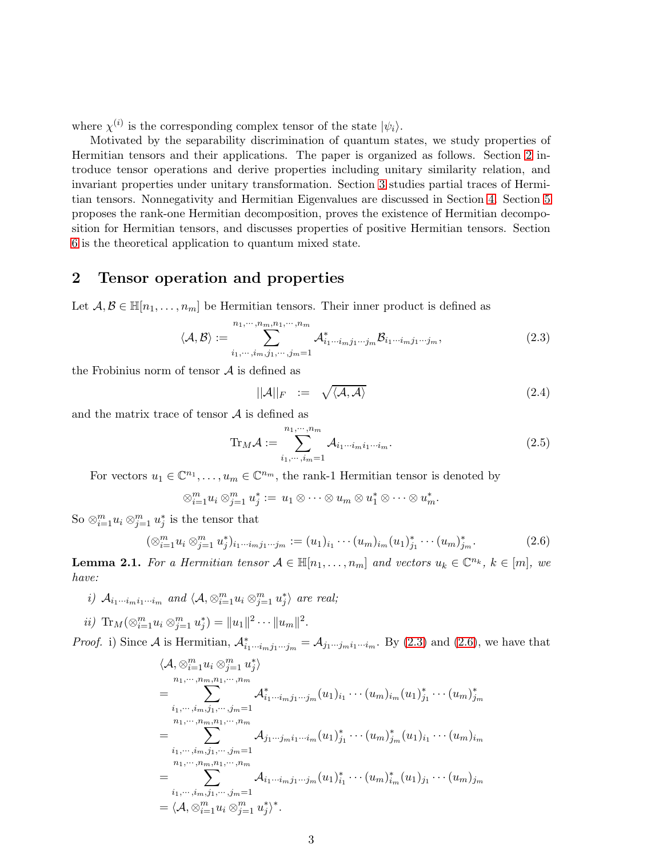where  $\chi^{(i)}$  is the corresponding complex tensor of the state  $|\psi_i\rangle$ .

Motivated by the separability discrimination of quantum states, we study properties of Hermitian tensors and their applications. The paper is organized as follows. Section [2](#page-2-0) introduce tensor operations and derive properties including unitary similarity relation, and invariant properties under unitary transformation. Section [3](#page-4-0) studies partial traces of Hermitian tensors. Nonnegativity and Hermitian Eigenvalues are discussed in Section [4.](#page-8-0) Section [5](#page-10-0) proposes the rank-one Hermitian decomposition, proves the existence of Hermitian decomposition for Hermitian tensors, and discusses properties of positive Hermitian tensors. Section [6](#page-12-0) is the theoretical application to quantum mixed state.

## <span id="page-2-0"></span>2 Tensor operation and properties

Let  $A, B \in \mathbb{H}[n_1, \ldots, n_m]$  be Hermitian tensors. Their inner product is defined as

<span id="page-2-1"></span>
$$
\langle \mathcal{A}, \mathcal{B} \rangle := \sum_{i_1, \cdots, i_m, j_1, \cdots, j_m = 1}^{n_1, \cdots, n_m, n_1, \cdots, n_m} \mathcal{A}_{i_1 \cdots i_m j_1 \cdots j_m}^* \mathcal{B}_{i_1 \cdots i_m j_1 \cdots j_m},
$$
(2.3)

the Frobinius norm of tensor  $A$  is defined as

$$
||\mathcal{A}||_F := \sqrt{\langle \mathcal{A}, \mathcal{A} \rangle} \tag{2.4}
$$

and the matrix trace of tensor  $A$  is defined as

$$
\text{Tr}_M \mathcal{A} := \sum_{i_1, \cdots, i_m = 1}^{n_1, \cdots, n_m} \mathcal{A}_{i_1 \cdots i_m i_1 \cdots i_m}.
$$
 (2.5)

For vectors  $u_1 \in \mathbb{C}^{n_1}, \ldots, u_m \in \mathbb{C}^{n_m}$ , the rank-1 Hermitian tensor is denoted by

$$
\otimes_{i=1}^m u_i \otimes_{j=1}^m u_j^* := u_1 \otimes \cdots \otimes u_m \otimes u_1^* \otimes \cdots \otimes u_m^*.
$$

So  $\otimes_{i=1}^m u_i \otimes_{j=1}^m u_j^*$  is the tensor that

<span id="page-2-2"></span>
$$
(\otimes_{i=1}^m u_i \otimes_{j=1}^m u_j^*)_{i_1\cdots i_m j_1\cdots j_m} := (u_1)_{i_1}\cdots (u_m)_{i_m} (u_1)_{j_1}^*\cdots (u_m)_{j_m}^*.
$$
 (2.6)

<span id="page-2-3"></span>**Lemma 2.1.** For a Hermitian tensor  $A \in \mathbb{H}[n_1,\ldots,n_m]$  and vectors  $u_k \in \mathbb{C}^{n_k}$ ,  $k \in [m]$ , we have:

i)  $\mathcal{A}_{i_1\cdots i_mi_1\cdots i_m}$  and  $\langle \mathcal{A},\otimes_{i=1}^mu_i\otimes_{j=1}^mu_j^*\rangle$  are real;

ii)  $\text{Tr}_M(\otimes_{i=1}^m u_i \otimes_{j=1}^m u_j^*) = ||u_1||^2 \cdots ||u_m||^2.$ 

*Proof.* i) Since A is Hermitian,  $\mathcal{A}_{i_1\cdots i_mj_1\cdots j_m}^* = \mathcal{A}_{j_1\cdots j_mi_1\cdots i_m}$ . By [\(2.3\)](#page-2-1) and [\(2.6\)](#page-2-2), we have that

$$
\langle A, \otimes_{i=1}^{m} u_i \otimes_{j=1}^{m} u_j^* \rangle
$$
  
\n
$$
= \sum_{i_1, \dots, i_m, j_1, \dots, j_m = 1}^{n_1, \dots, n_m, n_1, \dots, n_m} A_{i_1 \dots i_m j_1 \dots j_m}^* (u_1)_{i_1} \dots (u_m)_{i_m} (u_1)_{j_1}^* \dots (u_m)_{j_m}^*
$$
  
\n
$$
= \sum_{i_1, \dots, i_m, j_1, \dots, j_m = 1}^{n_1, \dots, n_m, n_1, \dots, n_m} A_{j_1 \dots j_m i_1 \dots i_m} (u_1)_{j_1}^* \dots (u_m)_{j_m}^* (u_1)_{i_1} \dots (u_m)_{i_m}
$$
  
\n
$$
= \sum_{i_1, \dots, i_m, j_1, \dots, j_m = 1}^{n_1, \dots, n_m, n_1, \dots, n_m} A_{i_1 \dots i_m j_1 \dots j_m} (u_1)_{i_1}^* \dots (u_m)_{i_m}^* (u_1)_{j_1} \dots (u_m)_{j_m}
$$
  
\n
$$
= \langle A, \otimes_{i=1}^{m} u_i \otimes_{j=1}^{m} u_j^* \rangle^*.
$$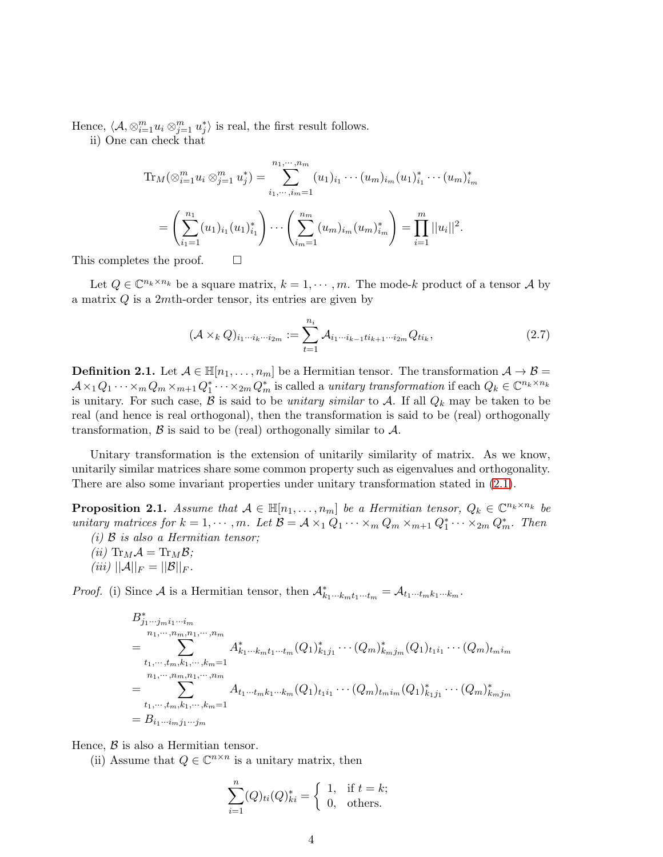Hence,  $\langle A, \otimes_{i=1}^m u_i \otimes_{j=1}^m u_j^* \rangle$  is real, the first result follows.

ii) One can check that

$$
\operatorname{Tr}_{M}(\otimes_{i=1}^{m} u_{i} \otimes_{j=1}^{m} u_{j}^{*}) = \sum_{i_{1}, \cdots, i_{m}=1}^{n_{1}, \cdots, n_{m}} (u_{1})_{i_{1}} \cdots (u_{m})_{i_{m}} (u_{1})_{i_{1}}^{*} \cdots (u_{m})_{i_{m}}^{*}
$$

$$
= \left(\sum_{i_{1}=1}^{n_{1}} (u_{1})_{i_{1}} (u_{1})_{i_{1}}^{*}\right) \cdots \left(\sum_{i_{m}=1}^{n_{m}} (u_{m})_{i_{m}} (u_{m})_{i_{m}}^{*}\right) = \prod_{i=1}^{m} ||u_{i}||^{2}.
$$

This completes the proof.  $\Box$ 

Let  $Q \in \mathbb{C}^{n_k \times n_k}$  be a square matrix,  $k = 1, \dots, m$ . The mode-k product of a tensor A by a matrix  $Q$  is a 2mth-order tensor, its entries are given by

$$
(\mathcal{A} \times_k Q)_{i_1 \cdots i_k \cdots i_{2m}} := \sum_{t=1}^{n_i} \mathcal{A}_{i_1 \cdots i_{k-1} t i_{k+1} \cdots i_{2m}} Q_{t i_k},
$$
\n(2.7)

**Definition 2.1.** Let  $A \in \mathbb{H}[n_1,\ldots,n_m]$  be a Hermitian tensor. The transformation  $A \to B =$  $A\times_1 Q_1\cdots\times_m Q_m\times_{m+1} Q_1^*\cdots\times_{2m} Q_m^*$  is called a *unitary transformation* if each  $Q_k\in\mathbb{C}^{n_k\times n_k}$ is unitary. For such case,  $\beta$  is said to be unitary similar to  $\mathcal{A}$ . If all  $Q_k$  may be taken to be real (and hence is real orthogonal), then the transformation is said to be (real) orthogonally transformation,  $\beta$  is said to be (real) orthogonally similar to  $\mathcal{A}$ .

Unitary transformation is the extension of unitarily similarity of matrix. As we know, unitarily similar matrices share some common property such as eigenvalues and orthogonality. There are also some invariant properties under unitary transformation stated in [\(2.1\)](#page-3-0).

<span id="page-3-0"></span>**Proposition 2.1.** Assume that  $A \in \mathbb{H}[n_1,\ldots,n_m]$  be a Hermitian tensor,  $Q_k \in \mathbb{C}^{n_k \times n_k}$  be unitary matrices for  $k = 1, \dots, m$ . Let  $\mathcal{B} = \mathcal{A} \times_1 Q_1 \cdots \times_m Q_m \times_{m+1} Q_1^* \cdots \times_{2m} Q_m^*$ . Then

- (i)  $\beta$  is also a Hermitian tensor;
- (*ii*)  $\text{Tr}_M \mathcal{A} = \text{Tr}_M \mathcal{B}$ ;
- (iii)  $||A||_F = ||B||_F$ .

*Proof.* (i) Since A is a Hermitian tensor, then  $\mathcal{A}_{k_1\cdots k_mt_1\cdots t_m}^* = \mathcal{A}_{t_1\cdots t_mk_1\cdots k_m}$ .

$$
B_{j_1\cdots j_m i_1\cdots i_m}^{*}
$$
\n
$$
= \sum_{\substack{i_1,\cdots,i_m,k_1,\cdots,k_m=1\\n_1,\cdots,n_m,n_1,\cdots,n_m}} A_{k_1\cdots k_m t_1\cdots t_m}^{*}(Q_1)_{k_1 j_1}^{*}\cdots (Q_m)_{k_m j_m}^{*}(Q_1)_{t_1 i_1}\cdots (Q_m)_{t_m i_m}
$$
\n
$$
= \sum_{\substack{i_1,\cdots,i_m,k_1,\cdots,k_m=1\\i_1,\cdots,i_m,k_1,\cdots,k_m=1}} A_{t_1\cdots t_m k_1\cdots k_m}^{*}(Q_1)_{t_1 i_1}\cdots (Q_m)_{t_m i_m}^{*}(Q_1)_{k_1 j_1}^{*}\cdots (Q_m)_{k_m j_m}^{*}
$$
\n
$$
= B_{i_1\cdots i_m j_1\cdots j_m}
$$

Hence,  $\beta$  is also a Hermitian tensor.

(ii) Assume that  $Q \in \mathbb{C}^{n \times n}$  is a unitary matrix, then

$$
\sum_{i=1}^{n} (Q)_{ti}(Q)_{ki}^* = \begin{cases} 1, & \text{if } t = k; \\ 0, & \text{others.} \end{cases}
$$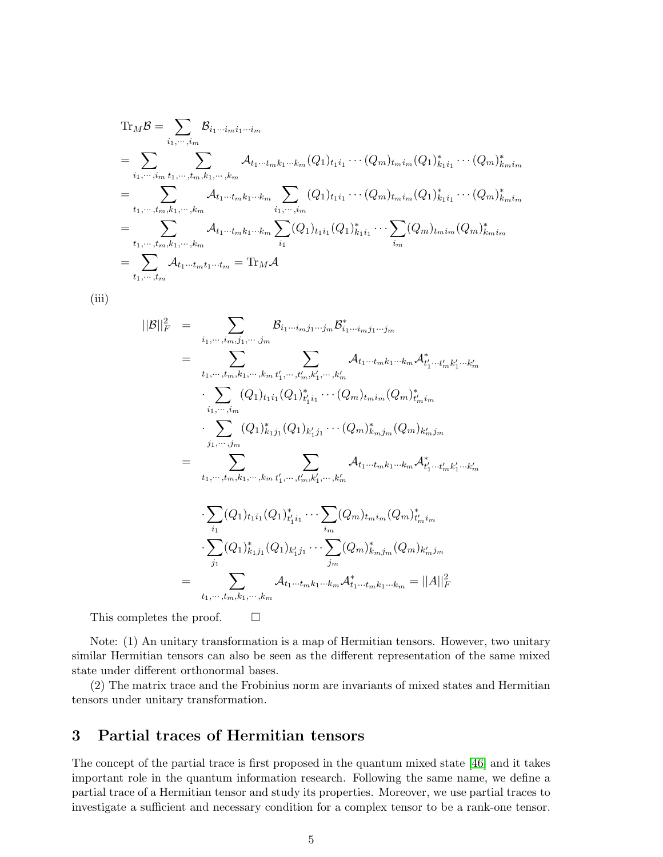$$
Tr_{M}B = \sum_{i_{1}, \dots, i_{m}} B_{i_{1} \dots i_{m} i_{1} \dots i_{m}}
$$
  
\n
$$
= \sum_{i_{1}, \dots, i_{m}} \sum_{t_{1}, \dots, t_{m}, k_{1}, \dots, k_{m}} A_{t_{1} \dots t_{m} k_{1} \dots k_{m}} (Q_{1})_{t_{1} i_{1}} \dots (Q_{m})_{t_{m} i_{m}} (Q_{1})_{k_{1} i_{1}}^{*} \dots (Q_{m})_{k_{m} i_{m}}^{*}
$$
  
\n
$$
= \sum_{t_{1}, \dots, t_{m}, k_{1}, \dots, k_{m}} A_{t_{1} \dots t_{m} k_{1} \dots k_{m}} \sum_{i_{1}, \dots, i_{m}} (Q_{1})_{t_{1} i_{1}} \dots (Q_{m})_{t_{m} i_{m}} (Q_{1})_{k_{1} i_{1}}^{*} \dots (Q_{m})_{k_{m} i_{m}}^{*}
$$
  
\n
$$
= \sum_{t_{1}, \dots, t_{m}, k_{1}, \dots, k_{m}} A_{t_{1} \dots t_{m} k_{1} \dots k_{m}} \sum_{i_{1}} (Q_{1})_{t_{1} i_{1}} (Q_{1})_{k_{1} i_{1}}^{*} \dots \sum_{i_{m}} (Q_{m})_{t_{m} i_{m}} (Q_{m})_{k_{m} i_{m}}^{*}
$$
  
\n
$$
= \sum_{t_{1}, \dots, t_{m}} A_{t_{1} \dots t_{m} t_{1} \dots t_{m}} = \text{Tr}_{M} A
$$

(iii)

$$
||\mathcal{B}||_F^2 = \sum_{i_1, \dots, i_m, j_1, \dots, j_m} \mathcal{B}_{i_1 \dots i_m j_1 \dots j_m} \mathcal{B}_{i_1 \dots i_m j_1 \dots j_m}^* \n= \sum_{t_1, \dots, t_m, k_1, \dots, k_m, t'_1, \dots, t'_m, k'_1, \dots, k'_m} \mathcal{A}_{t_1 \dots t_m k_1 \dots k_m} \mathcal{A}_{t'_1 \dots t'_m k'_1 \dots k'_m}^* \n\cdot \sum_{i_1, \dots, i_m} (Q_1)_{t_1 i_1} (Q_1)_{t'_1 i_1}^* \dots (Q_m)_{t_m i_m} (Q_m)_{t'_m i_m}^* \n\cdot \sum_{j_1, \dots, j_m} (Q_1)_{k_1 j_1}^* (Q_1)_{k'_1 j_1} \dots (Q_m)_{k_m j_m}^* (Q_m)_{k'_m j_m} \n= \sum_{t_1, \dots, t_m, k_1, \dots, k_m, t'_1, \dots, t'_m, k'_1, \dots, k'_m} \mathcal{A}_{t_1 \dots t_m k_1 \dots k_m} \mathcal{A}_{t'_1 \dots t'_m k'_1 \dots k'_m}^*
$$
\n
$$
\cdot \sum_{i_1} (Q_1)_{t_1 i_1} (Q_1)_{t'_1 i_1}^* \dots \sum_{i_m} (Q_m)_{t_m i_m} (Q_m)_{t'_m i_m}^*
$$
\n
$$
= \sum_{j_1} (Q_1)_{k_1 j_1}^* (Q_1)_{k'_1 j_1} \dots \sum_{j_m} (Q_m)_{k_m j_m}^* (Q_m)_{k'_m j_m}^*
$$
\n
$$
= \sum_{t_1, \dots, t_m, k_1, \dots, k_m} A_{t_1 \dots t_m k_1 \dots k_m} A_{t_1 \dots t_m k_1 \dots k_m}^* = ||A||_F^2
$$

This completes the proof.  $\Box$ 

Note: (1) An unitary transformation is a map of Hermitian tensors. However, two unitary similar Hermitian tensors can also be seen as the different representation of the same mixed state under different orthonormal bases.

(2) The matrix trace and the Frobinius norm are invariants of mixed states and Hermitian tensors under unitary transformation.

## <span id="page-4-0"></span>3 Partial traces of Hermitian tensors

The concept of the partial trace is first proposed in the quantum mixed state [\[46\]](#page-17-8) and it takes important role in the quantum information research. Following the same name, we define a partial trace of a Hermitian tensor and study its properties. Moreover, we use partial traces to investigate a sufficient and necessary condition for a complex tensor to be a rank-one tensor.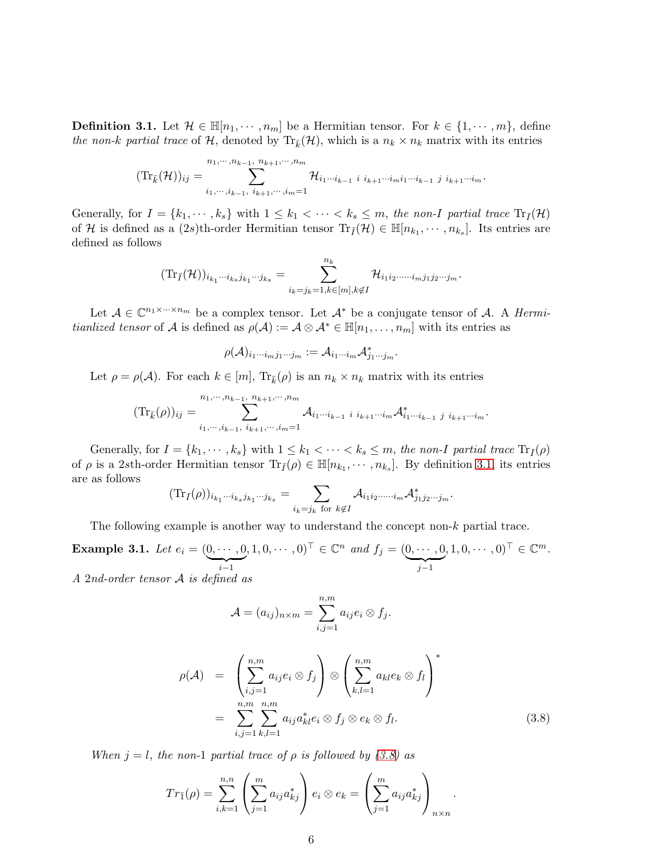<span id="page-5-0"></span>**Definition 3.1.** Let  $\mathcal{H} \in \mathbb{H}[n_1, \dots, n_m]$  be a Hermitian tensor. For  $k \in \{1, \dots, m\}$ , define the non-k partial trace of H, denoted by  $\text{Tr}_{\bar{k}}(\mathcal{H})$ , which is a  $n_k \times n_k$  matrix with its entries

$$
(\mathrm{Tr}_{\bar{k}}(\mathcal{H}))_{ij} = \sum_{i_1,\dots,i_{k-1},\ i_{k+1},\dots,i_m=1}^{n_1,\dots,n_{k-1},\ n_k+1,\dots,n_m} \mathcal{H}_{i_1\cdots i_{k-1}} i_{i_{k+1}\cdots i_m} i_{i_{k+1}\cdots i_{k-1}} j_{i_{k+1}\cdots i_m}.
$$

Generally, for  $I = \{k_1, \dots, k_s\}$  with  $1 \leq k_1 < \dots < k_s \leq m$ , the non-I partial trace  $\text{Tr}_{\bar{I}}(\mathcal{H})$ of H is defined as a  $(2s)$ th-order Hermitian tensor  $\text{Tr}_{\bar{I}}(\mathcal{H}) \in \mathbb{H}[n_{k_1}, \cdots, n_{k_s}]$ . Its entries are defined as follows

$$
(\mathrm{Tr}_{\bar{I}}(\mathcal{H}))_{i_{k_1}\cdots i_{k_s}j_{k_1}\cdots j_{k_s}}=\sum_{i_k=j_k=1, k\in [m], k\not\in I}^{n_k} \mathcal{H}_{i_1i_2\cdots \cdots i_mj_1j_2\cdots j_m}.
$$

Let  $A \in \mathbb{C}^{n_1 \times \cdots \times n_m}$  be a complex tensor. Let  $A^*$  be a conjugate tensor of A. A *Hermi*tianlized tensor of A is defined as  $\rho(\mathcal{A}) := \mathcal{A} \otimes \mathcal{A}^* \in \mathbb{H}[n_1, \ldots, n_m]$  with its entries as

$$
\rho(\mathcal{A})_{i_1\cdots i_m j_1\cdots j_m} := \mathcal{A}_{i_1\cdots i_m}\mathcal{A}_{j_1\cdots j_m}^*.
$$

Let  $\rho = \rho(\mathcal{A})$ . For each  $k \in [m]$ ,  $\text{Tr}_{\bar{k}}(\rho)$  is an  $n_k \times n_k$  matrix with its entries

$$
(\mathrm{Tr}_{\bar{k}}(\rho))_{ij} = \sum_{i_1,\dots,i_{k-1},\ i_{k+1},\dots,i_m=1}^{n_1,\dots,n_{k-1},\ n_{k+1},\dots,n_m} A_{i_1\cdots i_{k-1}} i_{i_{k+1}\cdots i_m} A_{i_1\cdots i_{k-1}}^* j_{i_{k+1}\cdots i_m}.
$$

Generally, for  $I = \{k_1, \dots, k_s\}$  with  $1 \leq k_1 < \dots < k_s \leq m$ , the non-I partial trace  $\text{Tr}_{\bar{I}}(\rho)$ of  $\rho$  is a 2sth-order Hermitian tensor  $\text{Tr}_{\bar{I}}(\rho) \in \mathbb{H}[n_{k_1}, \cdots, n_{k_s}]$ . By definition [3.1,](#page-5-0) its entries are as follows

$$
(\mathrm{Tr}_{\bar{I}}(\rho))_{i_{k_1}\cdots i_{k_s}j_{k_1}\cdots j_{k_s}}=\sum_{i_k=j_k \text{ for } k\not\in I} \mathcal{A}_{i_1i_2\cdots i_m}\mathcal{A}_{j_1j_2\cdots j_m}^*.
$$

The following example is another way to understand the concept non- $k$  partial trace.

**Example 3.1.** Let  $e_i = (0, \dots, 0)$  $\sum_{i-1}$  $(0,1,0,\cdots,0)^\top \in \mathbb{C}^n$  and  $f_j = (\underbrace{0,\cdots,0}_j)$  $\overline{\smash{\big)}\,j-1}$  $, 1, 0, \cdots, 0)$ <sup>T</sup>  $\in \mathbb{C}^m$ .

A 2nd-order tensor A is defined as

$$
\mathcal{A} = (a_{ij})_{n \times m} = \sum_{i,j=1}^{n,m} a_{ij} e_i \otimes f_j.
$$

<span id="page-5-1"></span>
$$
\rho(\mathcal{A}) = \left(\sum_{i,j=1}^{n,m} a_{ij} e_i \otimes f_j \right) \otimes \left(\sum_{k,l=1}^{n,m} a_{kl} e_k \otimes f_l \right)^*
$$
  
= 
$$
\sum_{i,j=1}^{n,m} \sum_{k,l=1}^{n,m} a_{ij} a_{kl}^* e_i \otimes f_j \otimes e_k \otimes f_l.
$$
 (3.8)

When  $j = l$ , the non-1 partial trace of  $\rho$  is followed by [\(3.8\)](#page-5-1) as

$$
Tr_{\bar{1}}(\rho) = \sum_{i,k=1}^{n,n} \left( \sum_{j=1}^{m} a_{ij} a_{kj}^* \right) e_i \otimes e_k = \left( \sum_{j=1}^{m} a_{ij} a_{kj}^* \right)_{n \times n}.
$$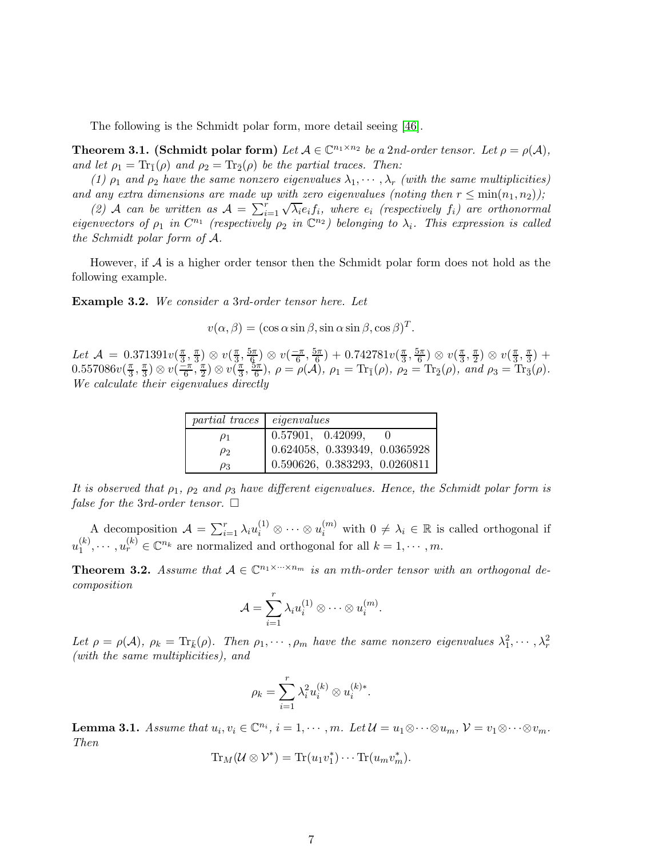The following is the Schmidt polar form, more detail seeing [\[46\]](#page-17-8).

**Theorem 3.1.** (Schmidt polar form) Let  $A \in \mathbb{C}^{n_1 \times n_2}$  be a 2nd-order tensor. Let  $\rho = \rho(A)$ , and let  $\rho_1 = \text{Tr}_{\bar{1}}(\rho)$  and  $\rho_2 = \text{Tr}_{\bar{2}}(\rho)$  be the partial traces. Then:

(1)  $\rho_1$  and  $\rho_2$  have the same nonzero eigenvalues  $\lambda_1, \dots, \lambda_r$  (with the same multiplicities) and any extra dimensions are made up with zero eigenvalues (noting then  $r \leq \min(n_1, n_2)$ );

(2) A can be written as  $A = \sum_{i=1}^{r} \sqrt{\lambda_i} e_i f_i$ , where  $e_i$  (respectively  $f_i$ ) are orthonormal eigenvectors of  $\rho_1$  in  $C^{n_1}$  (respectively  $\rho_2$  in  $\mathbb{C}^{n_2}$ ) belonging to  $\lambda_i$ . This expression is called the Schmidt polar form of A.

However, if  $A$  is a higher order tensor then the Schmidt polar form does not hold as the following example.

Example 3.2. We consider a 3rd-order tensor here. Let

 $v(\alpha, \beta) = (\cos \alpha \sin \beta, \sin \alpha \sin \beta, \cos \beta)^T$ .

Let  $\mathcal{A} = 0.371391v(\frac{\pi}{3})$  $\frac{\pi}{3}, \frac{\pi}{3}$  $\frac{\pi}{3}$ )  $\otimes v(\frac{\pi}{3})$  $\frac{\pi}{3}, \frac{5\pi}{6}$  $\left(\frac{5\pi}{6}\right)\otimes v\left(-\frac{\pi}{6},\frac{5\pi}{6}\right)$  $(\frac{5\pi}{6})+0.742781v(\frac{\pi}{3})$  $\frac{\pi}{3}, \frac{5\pi}{6}$  $\left(\frac{5\pi}{6}\right)\otimes v\left(\frac{\pi}{3}\right)$  $\frac{\pi}{3}, \frac{\pi}{2}$  $\frac{\pi}{2}$ )  $\otimes v(\frac{\pi}{3})$  $\frac{\pi}{3}, \frac{\pi}{3}$  $\frac{\pi}{3}$ ) +  $0.557086v(\frac{\pi}{3})$  $\frac{\pi}{3}, \frac{\pi}{3}$  $\frac{\pi}{3}) \otimes v(\frac{-\pi}{6}, \frac{\pi}{2})$  $(\frac{\pi}{2}) \otimes v(\frac{\pi}{3})$  $\frac{\pi}{3}, \frac{5\pi}{6}$  $(\frac{\partial \pi}{\partial 6}), \ \rho = \rho(\mathcal{A}), \ \rho_1 = \text{Tr}_{\bar{1}}(\rho), \ \rho_2 = \text{Tr}_{\bar{2}}(\rho), \ and \ \rho_3 = \text{Tr}_{\bar{3}}(\rho).$ We calculate their eigenvalues directly

| $partial traces$ eigenvalues |                               |  |  |  |
|------------------------------|-------------------------------|--|--|--|
| $\rho_1$                     | 0.57901, 0.42099,             |  |  |  |
| $\rho_2$                     | 0.624058, 0.339349, 0.0365928 |  |  |  |
| $\rho_3$                     | 0.590626, 0.383293, 0.0260811 |  |  |  |

It is observed that  $\rho_1$ ,  $\rho_2$  and  $\rho_3$  have different eigenvalues. Hence, the Schmidt polar form is false for the 3rd-order tensor.  $\square$ 

A decomposition  $\mathcal{A} = \sum_{i=1}^r \lambda_i u_i^{(1)} \otimes \cdots \otimes u_i^{(m)}$  with  $0 \neq \lambda_i \in \mathbb{R}$  is called orthogonal if  $u_1^{(k)}$  $u_1^{(k)}, \dots, u_r^{(k)} \in \mathbb{C}^{n_k}$  are normalized and orthogonal for all  $k = 1, \dots, m$ .

<span id="page-6-0"></span>**Theorem 3.2.** Assume that  $A \in \mathbb{C}^{n_1 \times \cdots \times n_m}$  is an mth-order tensor with an orthogonal decomposition

$$
\mathcal{A} = \sum_{i=1}^r \lambda_i u_i^{(1)} \otimes \cdots \otimes u_i^{(m)}.
$$

Let  $\rho = \rho(\mathcal{A}), \ \rho_k = \text{Tr}_{\bar{k}}(\rho).$  Then  $\rho_1, \cdots, \rho_m$  have the same nonzero eigenvalues  $\lambda_1^2, \cdots, \lambda_r^2$ (with the same multiplicities), and

$$
\rho_k = \sum_{i=1}^r \lambda_i^2 u_i^{(k)} \otimes u_i^{(k)*}.
$$

<span id="page-6-1"></span>**Lemma 3.1.** Assume that  $u_i, v_i \in \mathbb{C}^{n_i}$ ,  $i = 1, \dots, m$ . Let  $\mathcal{U} = u_1 \otimes \dots \otimes u_m$ ,  $\mathcal{V} = v_1 \otimes \dots \otimes v_m$ . Then

$$
\mathrm{Tr}_M(\mathcal{U}\otimes\mathcal{V}^*)=\mathrm{Tr}(u_1v_1^*)\cdots\mathrm{Tr}(u_mv_m^*).
$$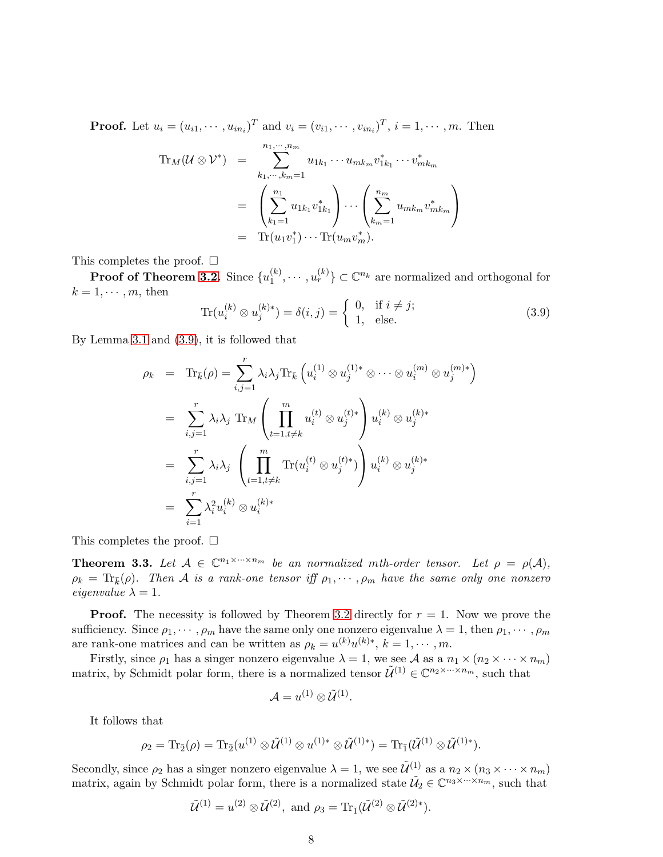**Proof.** Let  $u_i = (u_{i1}, \dots, u_{in_i})^T$  and  $v_i = (v_{i1}, \dots, v_{in_i})^T$ ,  $i = 1, \dots, m$ . Then

$$
\mathrm{Tr}_M(\mathcal{U} \otimes \mathcal{V}^*) = \sum_{k_1, \dots, k_m = 1}^{n_1, \dots, n_m} u_{1k_1} \cdots u_{mk_m} v_{1k_1}^* \cdots v_{mk_m}^*
$$
\n
$$
= \left( \sum_{k_1=1}^{n_1} u_{1k_1} v_{1k_1}^* \right) \cdots \left( \sum_{k_m=1}^{n_m} u_{mk_m} v_{mk_m}^* \right)
$$
\n
$$
= \mathrm{Tr}(u_1 v_1^*) \cdots \mathrm{Tr}(u_m v_m^*).
$$

This completes the proof.  $\square$ 

 $\bold{Proof of Theorem\ 3.2.}$  $\bold{Proof of Theorem\ 3.2.}$  $\bold{Proof of Theorem\ 3.2.}$   $\text{Since } \{u_1^{(k)}\}$  $\{a_1^{(k)}, \cdots, a_r^{(k)}\} \subset \mathbb{C}^{n_k}$  are normalized and orthogonal for  $k = 1, \cdots, m$ , then

<span id="page-7-0"></span>
$$
\operatorname{Tr}(u_i^{(k)} \otimes u_j^{(k)*}) = \delta(i,j) = \begin{cases} 0, & \text{if } i \neq j; \\ 1, & \text{else.} \end{cases}
$$
\n(3.9)

By Lemma [3.1](#page-6-1) and [\(3.9\)](#page-7-0), it is followed that

$$
\rho_k = \text{Tr}_{\bar{k}}(\rho) = \sum_{i,j=1}^r \lambda_i \lambda_j \text{Tr}_{\bar{k}} \left( u_i^{(1)} \otimes u_j^{(1)*} \otimes \cdots \otimes u_i^{(m)} \otimes u_j^{(m)*} \right)
$$
  
\n
$$
= \sum_{i,j=1}^r \lambda_i \lambda_j \text{Tr}_M \left( \prod_{t=1, t \neq k}^m u_i^{(t)} \otimes u_j^{(t)*} \right) u_i^{(k)} \otimes u_j^{(k)*}
$$
  
\n
$$
= \sum_{i,j=1}^r \lambda_i \lambda_j \left( \prod_{t=1, t \neq k}^m \text{Tr}(u_i^{(t)} \otimes u_j^{(t)*}) \right) u_i^{(k)} \otimes u_j^{(k)*}
$$
  
\n
$$
= \sum_{i=1}^r \lambda_i^2 u_i^{(k)} \otimes u_i^{(k)*}
$$

This completes the proof.  $\square$ 

<span id="page-7-1"></span>**Theorem 3.3.** Let  $A \in \mathbb{C}^{n_1 \times \cdots \times n_m}$  be an normalized mth-order tensor. Let  $\rho = \rho(A)$ ,  $\rho_k = \text{Tr}_{\bar{k}}(\rho)$ . Then A is a rank-one tensor iff  $\rho_1, \dots, \rho_m$  have the same only one nonzero eigenvalue  $\lambda = 1$ .

**Proof.** The necessity is followed by Theorem [3.2](#page-6-0) directly for  $r = 1$ . Now we prove the sufficiency. Since  $\rho_1, \dots, \rho_m$  have the same only one nonzero eigenvalue  $\lambda = 1$ , then  $\rho_1, \dots, \rho_m$ are rank-one matrices and can be written as  $\rho_k = u^{(k)} u^{(k)*}$ ,  $k = 1, \dots, m$ .

Firstly, since  $\rho_1$  has a singer nonzero eigenvalue  $\lambda = 1$ , we see A as a  $n_1 \times (n_2 \times \cdots \times n_m)$ matrix, by Schmidt polar form, there is a normalized tensor  $\tilde{\mathcal{U}}^{(1)} \in \mathbb{C}^{n_2 \times \cdots \times n_m}$ , such that

$$
\mathcal{A}=u^{(1)}\otimes \tilde{\mathcal{U}}^{(1)}.
$$

It follows that

$$
\rho_2=\mathrm{Tr}_{\bar{2}}(\rho)=\mathrm{Tr}_{\bar{2}}(u^{(1)}\otimes \tilde{\mathcal{U}}^{(1)}\otimes u^{(1)*}\otimes \tilde{\mathcal{U}}^{(1)*})=\mathrm{Tr}_{\bar{1}}(\tilde{\mathcal{U}}^{(1)}\otimes \tilde{\mathcal{U}}^{(1)*}).
$$

Secondly, since  $\rho_2$  has a singer nonzero eigenvalue  $\lambda = 1$ , we see  $\tilde{\mathcal{U}}^{(1)}$  as a  $n_2 \times (n_3 \times \cdots \times n_m)$ matrix, again by Schmidt polar form, there is a normalized state  $\tilde{U}_2 \in \mathbb{C}^{n_3 \times \cdots \times n_m}$ , such that

$$
\widetilde{\mathcal{U}}^{(1)} = u^{(2)} \otimes \widetilde{\mathcal{U}}^{(2)}, \text{ and } \rho_3 = \text{Tr}_{\bar{1}}(\widetilde{\mathcal{U}}^{(2)} \otimes \widetilde{\mathcal{U}}^{(2)*}).
$$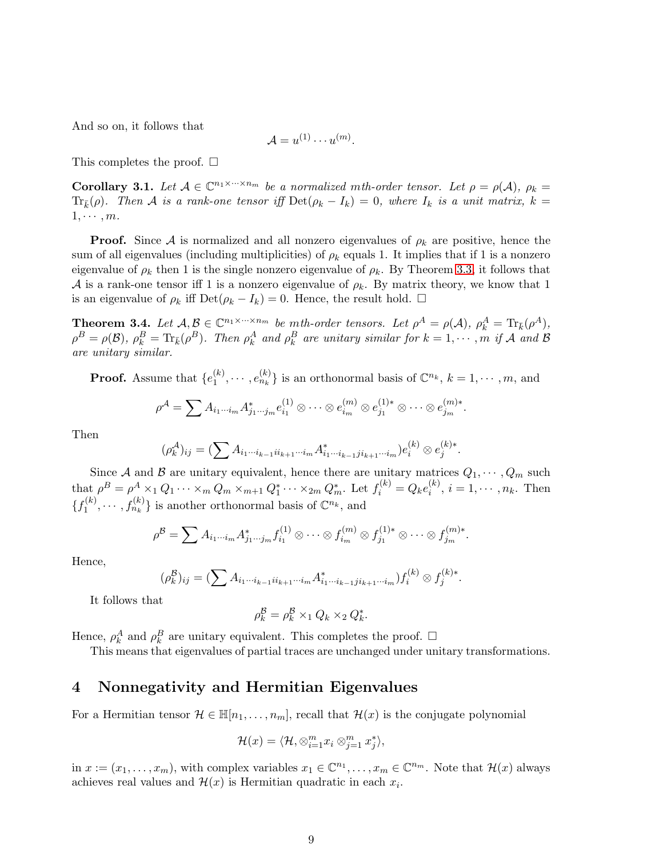And so on, it follows that

$$
\mathcal{A} = u^{(1)} \cdots u^{(m)}.
$$

This completes the proof.  $\square$ 

**Corollary 3.1.** Let  $A \in \mathbb{C}^{n_1 \times \cdots \times n_m}$  be a normalized mth-order tensor. Let  $\rho = \rho(A)$ ,  $\rho_k =$  $\text{Tr}_{\bar{k}}(\rho)$ . Then A is a rank-one tensor iff  $\text{Det}(\rho_k - I_k) = 0$ , where  $I_k$  is a unit matrix,  $k =$  $1, \cdots, m$ .

**Proof.** Since A is normalized and all nonzero eigenvalues of  $\rho_k$  are positive, hence the sum of all eigenvalues (including multiplicities) of  $\rho_k$  equals 1. It implies that if 1 is a nonzero eigenvalue of  $\rho_k$  then 1 is the single nonzero eigenvalue of  $\rho_k$ . By Theorem [3.3,](#page-7-1) it follows that A is a rank-one tensor iff 1 is a nonzero eigenvalue of  $\rho_k$ . By matrix theory, we know that 1 is an eigenvalue of  $\rho_k$  iff Det $(\rho_k - I_k) = 0$ . Hence, the result hold.  $\Box$ 

**Theorem 3.4.** Let  $A, B \in \mathbb{C}^{n_1 \times \cdots \times n_m}$  be mth-order tensors. Let  $\rho^A = \rho(A), \rho^A_k = \text{Tr}_{\bar{k}}(\rho^A),$  $\rho^B = \rho(\mathcal{B})$ ,  $\rho_k^B = \text{Tr}_{\bar{k}}(\rho^B)$ . Then  $\rho_k^A$  and  $\rho_k^B$  are unitary similar for  $k = 1, \cdots, m$  if A and B are unitary similar.

**Proof.** Assume that  $\{e_1^{(k)}\}$  ${k \choose 1}, \cdots, e_{n_k}^{(k)}\}$  is an orthonormal basis of  $\mathbb{C}^{n_k}$ ,  $k = 1, \cdots, m$ , and

$$
\rho^{\mathcal{A}} = \sum A_{i_1 \cdots i_m} A_{j_1 \cdots j_m}^* e_{i_1}^{(1)} \otimes \cdots \otimes e_{i_m}^{(m)} \otimes e_{j_1}^{(1)*} \otimes \cdots \otimes e_{j_m}^{(m)*}.
$$

Then

$$
(\rho_k^{\mathcal{A}})_{ij} = (\sum A_{i_1 \cdots i_{k-1} i i_{k+1} \cdots i_m} A_{i_1 \cdots i_{k-1} j i_{k+1} \cdots i_m}^*) e_i^{(k)} \otimes e_j^{(k)*}.
$$

Since A and B are unitary equivalent, hence there are unitary matrices  $Q_1, \dots, Q_m$  such that  $\rho^B = \rho^A \times_1 Q_1 \cdots \times_m Q_m \times_{m+1} Q_1^* \cdots \times_{2m} Q_m^*$ . Let  $f_i^{(k)} = Q_k e_i^{(k)}$  $i^{(k)}$ ,  $i = 1, \dots, n_k$ . Then  ${f_1^{(k)}}$  $f_1^{(k)}, \dots, f_{n_k}^{(k)}\}$  is another orthonormal basis of  $\mathbb{C}^{n_k}$ , and

$$
\rho^{\mathcal{B}} = \sum A_{i_1\cdots i_m} A_{j_1\cdots j_m}^* f_{i_1}^{(1)} \otimes \cdots \otimes f_{i_m}^{(m)} \otimes f_{j_1}^{(1)*} \otimes \cdots \otimes f_{j_m}^{(m)*}.
$$

Hence,

$$
(\rho_k^{\mathcal{B}})_{ij} = (\sum A_{i_1 \cdots i_{k-1} i i_{k+1} \cdots i_m} A_{i_1 \cdots i_{k-1} j i_{k+1} \cdots i_m}^*) f_i^{(k)} \otimes f_j^{(k)*}.
$$

It follows that

$$
\rho_k^{\mathcal{B}} = \rho_k^{\mathcal{B}} \times_1 Q_k \times_2 Q_k^*.
$$

Hence,  $\rho_k^A$  and  $\rho_k^B$  are unitary equivalent. This completes the proof.  $\Box$ 

This means that eigenvalues of partial traces are unchanged under unitary transformations.

#### <span id="page-8-0"></span>4 Nonnegativity and Hermitian Eigenvalues

For a Hermitian tensor  $\mathcal{H} \in \mathbb{H}[n_1,\ldots,n_m]$ , recall that  $\mathcal{H}(x)$  is the conjugate polynomial

$$
\mathcal{H}(x) = \langle \mathcal{H}, \otimes_{i=1}^m x_i \otimes_{j=1}^m x_j^* \rangle,
$$

in  $x := (x_1, \ldots, x_m)$ , with complex variables  $x_1 \in \mathbb{C}^{n_1}, \ldots, x_m \in \mathbb{C}^{n_m}$ . Note that  $\mathcal{H}(x)$  always achieves real values and  $\mathcal{H}(x)$  is Hermitian quadratic in each  $x_i$ .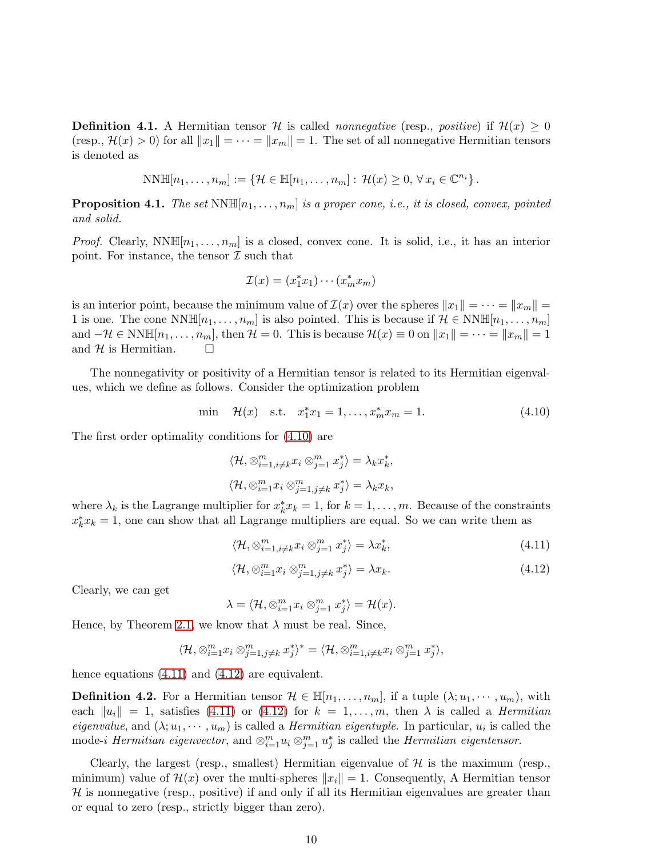**Definition 4.1.** A Hermitian tensor H is called *nonnegative* (resp., *positive*) if  $\mathcal{H}(x) \geq 0$ (resp.,  $\mathcal{H}(x) > 0$ ) for all  $||x_1|| = \cdots = ||x_m|| = 1$ . The set of all nonnegative Hermitian tensors is denoted as

$$
NN\mathbb{H}[n_1,\ldots,n_m]:=\left\{\mathcal{H}\in\mathbb{H}[n_1,\ldots,n_m]:\,\mathcal{H}(x)\geq 0,\,\forall\,x_i\in\mathbb{C}^{n_i}\right\}.
$$

**Proposition 4.1.** The set  $NNH[n_1, \ldots, n_m]$  is a proper cone, i.e., it is closed, convex, pointed and solid.

*Proof.* Clearly,  $NNH[n_1, \ldots, n_m]$  is a closed, convex cone. It is solid, i.e., it has an interior point. For instance, the tensor  $\mathcal I$  such that

$$
\mathcal{I}(x) = (x_1^* x_1) \cdots (x_m^* x_m)
$$

is an interior point, because the minimum value of  $\mathcal{I}(x)$  over the spheres  $||x_1|| = \cdots = ||x_m|| =$ 1 is one. The cone NNH[ $n_1, \ldots, n_m$ ] is also pointed. This is because if  $\mathcal{H} \in \text{NNH}[n_1, \ldots, n_m]$ and  $-\mathcal{H} \in \text{NNH}[n_1, \ldots, n_m]$ , then  $\mathcal{H} = 0$ . This is because  $\mathcal{H}(x) \equiv 0$  on  $||x_1|| = \cdots = ||x_m|| = 1$ <br>and  $\mathcal{H}$  is Hermitian and  $H$  is Hermitian.

The nonnegativity or positivity of a Hermitian tensor is related to its Hermitian eigenvalues, which we define as follows. Consider the optimization problem

<span id="page-9-0"></span>
$$
\min \quad \mathcal{H}(x) \quad \text{s.t.} \quad x_1^* x_1 = 1, \dots, x_m^* x_m = 1. \tag{4.10}
$$

The first order optimality conditions for [\(4.10\)](#page-9-0) are

$$
\langle \mathcal{H}, \otimes_{i=1, i \neq k}^{m} x_i \otimes_{j=1}^{m} x_j^* \rangle = \lambda_k x_k^*,
$$
  

$$
\langle \mathcal{H}, \otimes_{i=1}^{m} x_i \otimes_{j=1, j \neq k}^{m} x_j^* \rangle = \lambda_k x_k,
$$

where  $\lambda_k$  is the Lagrange multiplier for  $x_k^* x_k = 1$ , for  $k = 1, \ldots, m$ . Because of the constraints  $x_k^* x_k = 1$ , one can show that all Lagrange multipliers are equal. So we can write them as

<span id="page-9-1"></span>
$$
\langle \mathcal{H}, \otimes_{i=1, i \neq k}^{m} x_i \otimes_{j=1}^{m} x_j^* \rangle = \lambda x_k^*,\tag{4.11}
$$

<span id="page-9-2"></span>
$$
\langle \mathcal{H}, \otimes_{i=1}^{m} x_i \otimes_{j=1, j \neq k}^{m} x_j^* \rangle = \lambda x_k. \tag{4.12}
$$

Clearly, we can get

$$
\lambda = \langle \mathcal{H}, \otimes_{i=1}^m x_i \otimes_{j=1}^m x_j^* \rangle = \mathcal{H}(x).
$$

Hence, by Theorem [2.1,](#page-2-3) we know that  $\lambda$  must be real. Since,

$$
\langle \mathcal{H}, \otimes_{i=1}^m x_i \otimes_{j=1, j \neq k}^m x_j^* \rangle^* = \langle \mathcal{H}, \otimes_{i=1, i \neq k}^m x_i \otimes_{j=1}^m x_j^* \rangle,
$$

hence equations  $(4.11)$  and  $(4.12)$  are equivalent.

**Definition 4.2.** For a Hermitian tensor  $\mathcal{H} \in \mathbb{H}[n_1,\ldots,n_m]$ , if a tuple  $(\lambda; u_1, \cdots, u_m)$ , with each  $||u_i|| = 1$ , satisfies [\(4.11\)](#page-9-1) or [\(4.12\)](#page-9-2) for  $k = 1, ..., m$ , then  $\lambda$  is called a *Hermitian eigenvalue*, and  $(\lambda; u_1, \dots, u_m)$  is called a *Hermitian eigentuple*. In particular,  $u_i$  is called the mode-*i Hermitian eigenvector*, and  $\otimes_{i=1}^m u_i \otimes_{j=1}^m u_j^*$  is called the *Hermitian eigentensor*.

Clearly, the largest (resp., smallest) Hermitian eigenvalue of  $\mathcal{H}$  is the maximum (resp., minimum) value of  $\mathcal{H}(x)$  over the multi-spheres  $||x_i|| = 1$ . Consequently, A Hermitian tensor  $H$  is nonnegative (resp., positive) if and only if all its Hermitian eigenvalues are greater than or equal to zero (resp., strictly bigger than zero).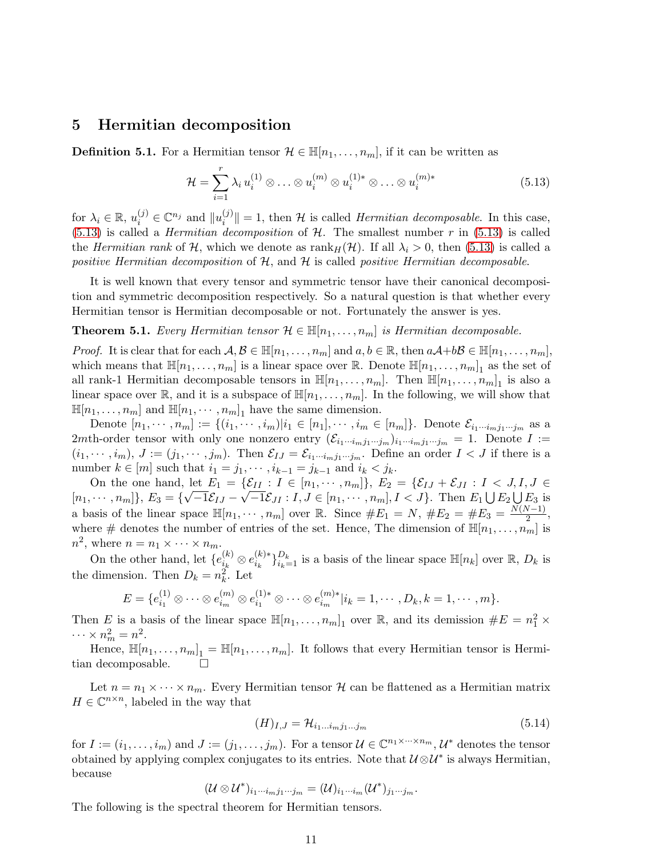## <span id="page-10-0"></span>5 Hermitian decomposition

**Definition 5.1.** For a Hermitian tensor  $\mathcal{H} \in \mathbb{H}[n_1, \ldots, n_m]$ , if it can be written as

<span id="page-10-1"></span>
$$
\mathcal{H} = \sum_{i=1}^{r} \lambda_i u_i^{(1)} \otimes \ldots \otimes u_i^{(m)} \otimes u_i^{(1)*} \otimes \ldots \otimes u_i^{(m)*}
$$
(5.13)

for  $\lambda_i \in \mathbb{R}$ ,  $u_i^{(j)} \in \mathbb{C}^{n_j}$  and  $||u_i^{(j)}||$  $||u|| = 1$ , then H is called *Hermitian decomposable*. In this case,  $(5.13)$  is called a *Hermitian decomposition* of  $H$ . The smallest number r in  $(5.13)$  is called the Hermitian rank of H, which we denote as  $\text{rank}_H(\mathcal{H})$ . If all  $\lambda_i > 0$ , then [\(5.13\)](#page-10-1) is called a positive Hermitian decomposition of  $H$ , and  $H$  is called positive Hermitian decomposable.

It is well known that every tensor and symmetric tensor have their canonical decomposition and symmetric decomposition respectively. So a natural question is that whether every Hermitian tensor is Hermitian decomposable or not. Fortunately the answer is yes.

#### **Theorem 5.1.** Every Hermitian tensor  $\mathcal{H} \in \mathbb{H}[n_1, \ldots, n_m]$  is Hermitian decomposable.

*Proof.* It is clear that for each  $A, B \in \mathbb{H}[n_1, \ldots, n_m]$  and  $a, b \in \mathbb{R}$ , then  $aA+bB \in \mathbb{H}[n_1, \ldots, n_m]$ , which means that  $\mathbb{H}[n_1,\ldots,n_m]$  is a linear space over  $\mathbb{R}$ . Denote  $\mathbb{H}[n_1,\ldots,n_m]_1$  as the set of all rank-1 Hermitian decomposable tensors in  $\mathbb{H}[n_1,\ldots,n_m]$ . Then  $\mathbb{H}[n_1,\ldots,n_m]_1$  is also a linear space over  $\mathbb{R}$ , and it is a subspace of  $\mathbb{H}[n_1, \ldots, n_m]$ . In the following, we will show that  $\mathbb{H}[n_1,\ldots,n_m]$  and  $\mathbb{H}[n_1,\cdots,n_m]_1$  have the same dimension.

Denote  $[n_1, \dots, n_m] := \{(i_1, \dots, i_m)| i_1 \in [n_1], \dots, i_m \in [n_m]\}.$  Denote  $\mathcal{E}_{i_1 \dots i_m j_1 \dots j_m}$  as a 2mth-order tensor with only one nonzero entry  $(\mathcal{E}_{i_1\cdots i_mj_1\cdots j_m})_{i_1\cdots i_mj_1\cdots j_m} = 1$ . Denote  $I :=$  $(i_1, \dots, i_m)$ ,  $J := (j_1, \dots, j_m)$ . Then  $\mathcal{E}_{IJ} = \mathcal{E}_{i_1 \dots i_m j_1 \dots j_m}$ . Define an order  $I < J$  if there is a number  $k \in [m]$  such that  $i_1 = j_1, \dots, i_{k-1} = j_{k-1}$  and  $i_k < j_k$ .

On the one hand, let  $E_1 = \{ \mathcal{E}_{II} : I \in [n_1, \dots, n_m] \}, E_2 = \{ \mathcal{E}_{IJ} + \mathcal{E}_{JI} : I \subset J, I, J \in$  $[n_1, \cdots, n_m]\}, E_3 = \{\sqrt{-1} \mathcal{E}_{IJ} - \sqrt{-1} \mathcal{E}_{JI} : I, J \in [n_1, \cdots, n_m], I < J\}.$  Then  $E_1 \cup E_2 \cup E_3$  is a basis of the linear space  $\mathbb{H}[n_1, \dots, n_m]$  over  $\mathbb{R}$ . Since  $\#E_1 = N$ ,  $\#E_2 = \#E_3 = \frac{N(N-1)}{2}$ , where # denotes the number of entries of the set. Hence, The dimension of  $\mathbb{H}[n_1,\ldots,n_m]$  is  $n^2$ , where  $n = n_1 \times \cdots \times n_m$ .

On the other hand, let  $\{e_{i_k}^{(k)}\}$  $i_k^{(k)} \otimes e_{i_k}^{(k)*} \}_{i_k=1}^{D_k}$  is a basis of the linear space  $\mathbb{H}[n_k]$  over  $\mathbb{R}, D_k$  is the dimension. Then  $D_k = n_k^2$ . Let

$$
E = \{e_{i_1}^{(1)} \otimes \cdots \otimes e_{i_m}^{(m)} \otimes e_{i_1}^{(1)*} \otimes \cdots \otimes e_{i_m}^{(m)*}| i_k = 1, \cdots, D_k, k = 1, \cdots, m\}.
$$

Then E is a basis of the linear space  $\mathbb{H}[n_1,\ldots,n_m]_1$  over R, and its demission  $\#E = n_1^2 \times$  $\cdots \times n_m^2 = n^2.$ 

Hence,  $\mathbb{H}[n_1,\ldots,n_m]_1 = \mathbb{H}[n_1,\ldots,n_m]$ . It follows that every Hermitian tensor is Hermitian decomposable.  $\square$ 

Let  $n = n_1 \times \cdots \times n_m$ . Every Hermitian tensor  $\mathcal H$  can be flattened as a Hermitian matrix  $H \in \mathbb{C}^{n \times n}$ , labeled in the way that

<span id="page-10-2"></span>
$$
(H)_{I,J} = \mathcal{H}_{i_1\ldots i_m j_1\ldots j_m} \tag{5.14}
$$

for  $I := (i_1, \ldots, i_m)$  and  $J := (j_1, \ldots, j_m)$ . For a tensor  $\mathcal{U} \in \mathbb{C}^{n_1 \times \cdots \times n_m}$ ,  $\mathcal{U}^*$  denotes the tensor obtained by applying complex conjugates to its entries. Note that  $\mathcal{U} \otimes \mathcal{U}^*$  is always Hermitian, because

$$
(\mathcal{U}\otimes \mathcal{U}^*)_{i_1\cdots i_m j_1\cdots j_m}=(\mathcal{U})_{i_1\cdots i_m}(\mathcal{U}^*)_{j_1\cdots j_m}.
$$

The following is the spectral theorem for Hermitian tensors.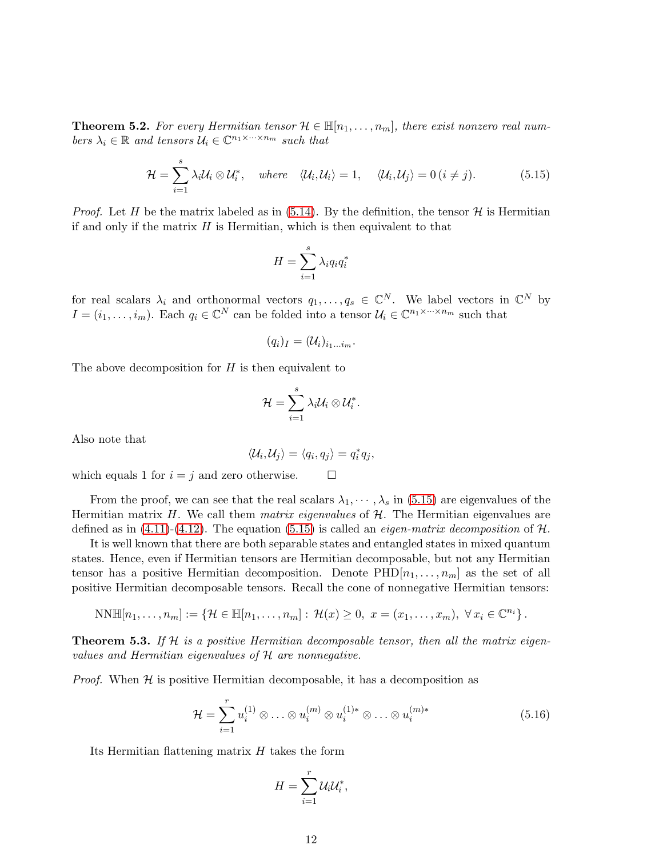**Theorem 5.2.** For every Hermitian tensor  $\mathcal{H} \in \mathbb{H}[n_1,\ldots,n_m]$ , there exist nonzero real numbers  $\lambda_i \in \mathbb{R}$  and tensors  $\mathcal{U}_i \in \mathbb{C}^{n_1 \times \cdots \times n_m}$  such that

<span id="page-11-0"></span>
$$
\mathcal{H} = \sum_{i=1}^{s} \lambda_i \mathcal{U}_i \otimes \mathcal{U}_i^*, \quad \text{where} \quad \langle \mathcal{U}_i, \mathcal{U}_i \rangle = 1, \quad \langle \mathcal{U}_i, \mathcal{U}_j \rangle = 0 \quad (i \neq j). \tag{5.15}
$$

*Proof.* Let H be the matrix labeled as in [\(5.14\)](#page-10-2). By the definition, the tensor H is Hermitian if and only if the matrix  $H$  is Hermitian, which is then equivalent to that

$$
H = \sum_{i=1}^{s} \lambda_i q_i q_i^*
$$

for real scalars  $\lambda_i$  and orthonormal vectors  $q_1, \ldots, q_s \in \mathbb{C}^N$ . We label vectors in  $\mathbb{C}^N$  by  $I = (i_1, \ldots, i_m)$ . Each  $q_i \in \mathbb{C}^N$  can be folded into a tensor  $\mathcal{U}_i \in \mathbb{C}^{n_1 \times \cdots \times n_m}$  such that

$$
(q_i)_I=(\mathcal{U}_i)_{i_1...i_m}.
$$

The above decomposition for  $H$  is then equivalent to

$$
\mathcal{H}=\sum_{i=1}^s\lambda_i\mathcal{U}_i\otimes\mathcal{U}_i^*.
$$

Also note that

$$
\langle \mathcal{U}_i, \mathcal{U}_j \rangle = \langle q_i, q_j \rangle = q_i^* q_j,
$$

which equals 1 for  $i = j$  and zero otherwise.  $\Box$ 

From the proof, we can see that the real scalars  $\lambda_1, \dots, \lambda_s$  in [\(5.15\)](#page-11-0) are eigenvalues of the Hermitian matrix H. We call them *matrix eigenvalues* of  $H$ . The Hermitian eigenvalues are defined as in  $(4.11)-(4.12)$  $(4.11)-(4.12)$ . The equation  $(5.15)$  is called an *eigen-matrix decomposition* of H.

It is well known that there are both separable states and entangled states in mixed quantum states. Hence, even if Hermitian tensors are Hermitian decomposable, but not any Hermitian tensor has a positive Hermitian decomposition. Denote  $PHD[n_1, \ldots, n_m]$  as the set of all positive Hermitian decomposable tensors. Recall the cone of nonnegative Hermitian tensors:

$$
NN\mathbb{H}[n_1,\ldots,n_m]:=\left\{\mathcal{H}\in\mathbb{H}[n_1,\ldots,n_m]:\,\mathcal{H}(x)\geq 0,\,\,x=(x_1,\ldots,x_m),\,\,\forall\,x_i\in\mathbb{C}^{n_i}\right\}.
$$

**Theorem 5.3.** If H is a positive Hermitian decomposable tensor, then all the matrix eigenvalues and Hermitian eigenvalues of H are nonnegative.

*Proof.* When  $H$  is positive Hermitian decomposable, it has a decomposition as

$$
\mathcal{H} = \sum_{i=1}^{r} u_i^{(1)} \otimes \ldots \otimes u_i^{(m)} \otimes u_i^{(1)*} \otimes \ldots \otimes u_i^{(m)*}
$$
(5.16)

Its Hermitian flattening matrix H takes the form

$$
H=\sum_{i=1}^r\mathcal{U}_i\mathcal{U}_i^*,
$$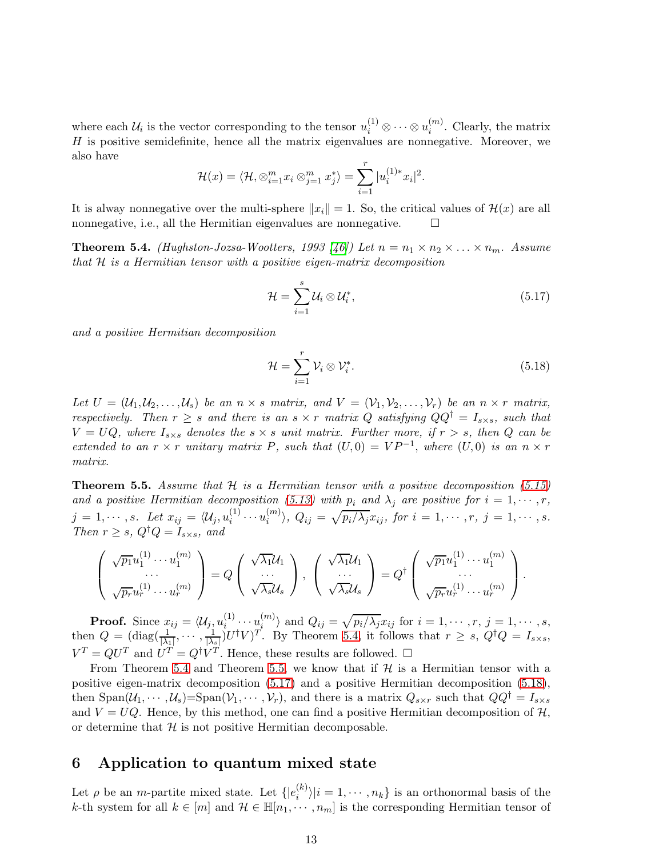where each  $\mathcal{U}_i$  is the vector corresponding to the tensor  $u_i^{(1)} \otimes \cdots \otimes u_i^{(m)}$  $i^{(m)}$ . Clearly, the matrix H is positive semidefinite, hence all the matrix eigenvalues are nonnegative. Moreover, we also have

$$
\mathcal{H}(x) = \langle \mathcal{H}, \otimes_{i=1}^m x_i \otimes_{j=1}^m x_j^* \rangle = \sum_{i=1}^r |u_i^{(1)*} x_i|^2.
$$

It is alway nonnegative over the multi-sphere  $||x_i|| = 1$ . So, the critical values of  $\mathcal{H}(x)$  are all nonnegative, i.e., all the Hermitian eigenvalues are nonnegative.  $\Box$ 

<span id="page-12-1"></span>**Theorem 5.4.** (Hughston-Jozsa-Wootters, 1993 [\[46\]](#page-17-8)) Let  $n = n_1 \times n_2 \times \ldots \times n_m$ . Assume that  $H$  is a Hermitian tensor with a positive eigen-matrix decomposition

<span id="page-12-3"></span>
$$
\mathcal{H} = \sum_{i=1}^{s} \mathcal{U}_i \otimes \mathcal{U}_i^*,\tag{5.17}
$$

and a positive Hermitian decomposition

<span id="page-12-4"></span>
$$
\mathcal{H} = \sum_{i=1}^{r} \mathcal{V}_i \otimes \mathcal{V}_i^*.
$$
\n(5.18)

Let  $U = (\mathcal{U}_1, \mathcal{U}_2, \ldots, \mathcal{U}_s)$  be an  $n \times s$  matrix, and  $V = (\mathcal{V}_1, \mathcal{V}_2, \ldots, \mathcal{V}_r)$  be an  $n \times r$  matrix, respectively. Then  $r \geq s$  and there is an  $s \times r$  matrix Q satisfying  $QQ^{\dagger} = I_{s \times s}$ , such that  $V = UQ$ , where  $I_{s \times s}$  denotes the  $s \times s$  unit matrix. Further more, if  $r > s$ , then Q can be extended to an  $r \times r$  unitary matrix P, such that  $(U, 0) = VP^{-1}$ , where  $(U, 0)$  is an  $n \times r$ matrix.

<span id="page-12-2"></span>**Theorem 5.5.** Assume that  $H$  is a Hermitian tensor with a positive decomposition [\(5.15\)](#page-11-0) and a positive Hermitian decomposition [\(5.13\)](#page-10-1) with  $p_i$  and  $\lambda_j$  are positive for  $i = 1, \dots, r$ ,  $j = 1, \cdots, s.$  Let  $x_{ij} = \langle \mathcal{U}_j , u_i^{(1)} \rangle$  $\sum_{i}^{(1)} \cdots u_i^{(m)}$  $\langle i^{(m)}\rangle, Q_{ij} = \sqrt{p_i/\lambda_j} x_{ij}, \text{ for } i = 1, \cdots, r, \text{ } j = 1, \cdots, s.$ Then  $r \geq s$ ,  $Q^{\dagger}Q = I_{s \times s}$ , and

$$
\begin{pmatrix}\n\sqrt{p_1}u_1^{(1)}\cdots u_1^{(m)} \\
\vdots \\
\sqrt{p_r}u_r^{(1)}\cdots u_r^{(m)}\n\end{pmatrix} = Q \begin{pmatrix}\n\sqrt{\lambda_1}\mathcal{U}_1 \\
\vdots \\
\sqrt{\lambda_s}\mathcal{U}_s\n\end{pmatrix}, \begin{pmatrix}\n\sqrt{\lambda_1}\mathcal{U}_1 \\
\vdots \\
\sqrt{\lambda_s}\mathcal{U}_s\n\end{pmatrix} = Q^{\dagger} \begin{pmatrix}\n\sqrt{p_1}u_1^{(1)}\cdots u_1^{(m)} \\
\vdots \\
\sqrt{p_r}u_r^{(1)}\cdots u_r^{(m)}\n\end{pmatrix}.
$$

**Proof.** Since  $x_{ij} = \langle \mathcal{U}_j, u_i^{(1)} \rangle$  $\sum_{i=1}^{(1)} \cdots \sum_{i=1}^{(m)}$  $\langle i^{(m)}\rangle$  and  $Q_{ij} = \sqrt{p_i/\lambda_j}x_{ij}$  for  $i = 1, \cdots, r, j = 1, \cdots, s$ , then  $Q = (\text{diag}(\frac{1}{|\lambda_1|}, \cdots, \frac{1}{|\lambda_s|})U^{\dagger}V)^T$ . By Theorem [5.4,](#page-12-1) it follows that  $r \geq s$ ,  $Q^{\dagger}Q = I_{s \times s}$ ,  $V^T = QU^T$  and  $U^T = Q^{\dagger}V^T$ . Hence, these results are followed.  $\square$ 

From Theorem [5.4](#page-12-1) and Theorem [5.5,](#page-12-2) we know that if  $\mathcal{H}$  is a Hermitian tensor with a positive eigen-matrix decomposition [\(5.17\)](#page-12-3) and a positive Hermitian decomposition [\(5.18\)](#page-12-4), then  $\text{Span}(\mathcal{U}_1,\cdots,\mathcal{U}_s) = \text{Span}(\mathcal{V}_1,\cdots,\mathcal{V}_r)$ , and there is a matrix  $Q_{s\times r}$  such that  $QQ^{\dagger} = I_{s\times s}$ and  $V = UQ$ . Hence, by this method, one can find a positive Hermitian decomposition of  $H$ , or determine that  $H$  is not positive Hermitian decomposable.

## <span id="page-12-0"></span>6 Application to quantum mixed state

Let  $\rho$  be an *m*-partite mixed state. Let  $\{ |e_i^{(k)}| \}$  $\binom{\binom{k}{i}}{i}$  = 1,  $\cdots$ ,  $n_k$  is an orthonormal basis of the k-th system for all  $k \in [m]$  and  $\mathcal{H} \in \mathbb{H}[n_1, \dots, n_m]$  is the corresponding Hermitian tensor of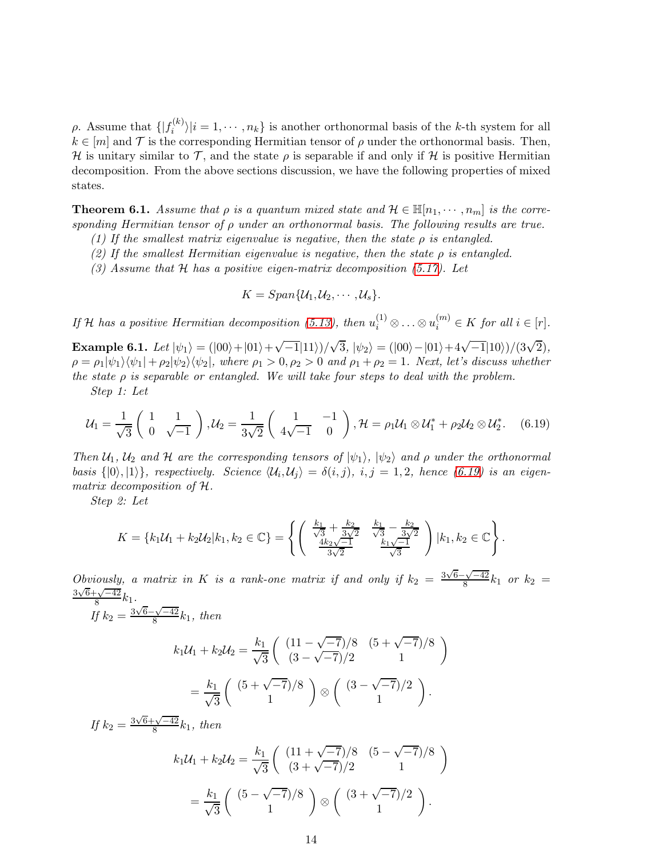ρ. Assume that  $\{ | f_i^{(k)} \rangle$  $\langle i^{(k)} \rangle | i = 1, \dots, n_k$  is another orthonormal basis of the k-th system for all  $k \in [m]$  and  $\mathcal T$  is the corresponding Hermitian tensor of  $\rho$  under the orthonormal basis. Then, H is unitary similar to T, and the state  $\rho$  is separable if and only if H is positive Hermitian decomposition. From the above sections discussion, we have the following properties of mixed states.

**Theorem 6.1.** Assume that  $\rho$  is a quantum mixed state and  $\mathcal{H} \in \mathbb{H}[n_1, \dots, n_m]$  is the corresponding Hermitian tensor of  $\rho$  under an orthonormal basis. The following results are true.

- (1) If the smallest matrix eigenvalue is negative, then the state  $\rho$  is entangled.
- (2) If the smallest Hermitian eigenvalue is negative, then the state  $\rho$  is entangled.
- (3) Assume that  $H$  has a positive eigen-matrix decomposition [\(5.17\)](#page-12-3). Let

$$
K=Span\{\mathcal{U}_1,\mathcal{U}_2,\cdots,\mathcal{U}_s\}.
$$

If H has a positive Hermitian decomposition [\(5.13\)](#page-10-1), then  $u_i^{(1)} \otimes \ldots \otimes u_i^{(m)} \in K$  for all  $i \in [r]$ .

Example 6.1. Let  $|\psi_1\rangle = (|00\rangle + |01\rangle + \sqrt{-1}|11\rangle)/\sqrt{3}$ ,  $|\psi_2\rangle = (|00\rangle - |01\rangle + 4\sqrt{-1}|10\rangle)/({3\sqrt{2}})$ ,  $\rho = \rho_1|\psi_1\rangle\langle\psi_1| + \rho_2|\psi_2\rangle\langle\psi_2|$ , where  $\rho_1 > 0$ ,  $\rho_2 > 0$  and  $\rho_1 + \rho_2 = 1$ . Next, let's discuss whether the state  $\rho$  is separable or entangled. We will take four steps to deal with the problem.

Step 1: Let

<span id="page-13-0"></span>
$$
\mathcal{U}_1 = \frac{1}{\sqrt{3}} \begin{pmatrix} 1 & 1 \\ 0 & \sqrt{-1} \end{pmatrix}, \mathcal{U}_2 = \frac{1}{3\sqrt{2}} \begin{pmatrix} 1 & -1 \\ 4\sqrt{-1} & 0 \end{pmatrix}, \mathcal{H} = \rho_1 \mathcal{U}_1 \otimes \mathcal{U}_1^* + \rho_2 \mathcal{U}_2 \otimes \mathcal{U}_2^*.
$$
 (6.19)

Then  $\mathcal{U}_1$ ,  $\mathcal{U}_2$  and  $\mathcal{H}$  are the corresponding tensors of  $|\psi_1\rangle$ ,  $|\psi_2\rangle$  and  $\rho$  under the orthonormal basis  $\{|0\rangle, |1\rangle\}$ , respectively. Science  $\langle U_i, U_j \rangle = \delta(i, j)$ , i, j = 1, 2, hence [\(6.19\)](#page-13-0) is an eigenmatrix decomposition of H.

Step 2: Let

$$
K = \{k_1 \mathcal{U}_1 + k_2 \mathcal{U}_2 | k_1, k_2 \in \mathbb{C}\} = \left\{ \begin{pmatrix} \frac{k_1}{\sqrt{3}} + \frac{k_2}{3\sqrt{2}} & \frac{k_1}{\sqrt{3}} - \frac{k_2}{3\sqrt{2}} \\ \frac{4k_2\sqrt{-1}}{3\sqrt{2}} & \frac{k_1\sqrt{-1}}{\sqrt{3}} \end{pmatrix} | k_1, k_2 \in \mathbb{C} \right\}.
$$

Obviously, a matrix in K is a rank-one matrix if and only if  $k_2 = \frac{3\sqrt{6}-\sqrt{-42}}{8}k_1$  or  $k_2 =$  $\frac{3\sqrt{6}+\sqrt{-42}}{8}k_1$ .

$$
\text{If } k_2 = \frac{3\sqrt{6} - \sqrt{-42}}{8}k_1, \text{ then}
$$

$$
k_1 \mathcal{U}_1 + k_2 \mathcal{U}_2 = \frac{k_1}{\sqrt{3}} \begin{pmatrix} (11 - \sqrt{-7})/8 & (5 + \sqrt{-7})/8 \\ (3 - \sqrt{-7})/2 & 1 \end{pmatrix}
$$

$$
= \frac{k_1}{\sqrt{3}} \begin{pmatrix} (5 + \sqrt{-7})/8 \\ 1 \end{pmatrix} \otimes \begin{pmatrix} (3 - \sqrt{-7})/2 \\ 1 \end{pmatrix}.
$$

If  $k_2 = \frac{3\sqrt{6} + \sqrt{-42}}{8}k_1$ , then  $k_1\mathcal{U}_1+k_2\mathcal{U}_2=\frac{k_1}{\sqrt{2}}$  $\sqrt{3}$  $\left(\frac{(11+\sqrt{-7})}{8}\right. \frac{(5-\sqrt{-7})}{8}$  $\frac{(11+\sqrt{-7})/8}{(3+\sqrt{-7})/2}$   $\left(\frac{5-\sqrt{-7}}{1}\right)$  $=\frac{k_1}{6}$  $\sqrt{3}$  $(5 - \sqrt{-7})/8$ 1  $\setminus$ ⊗  $(3 + \sqrt{-7})/2$ 1  $\setminus$ .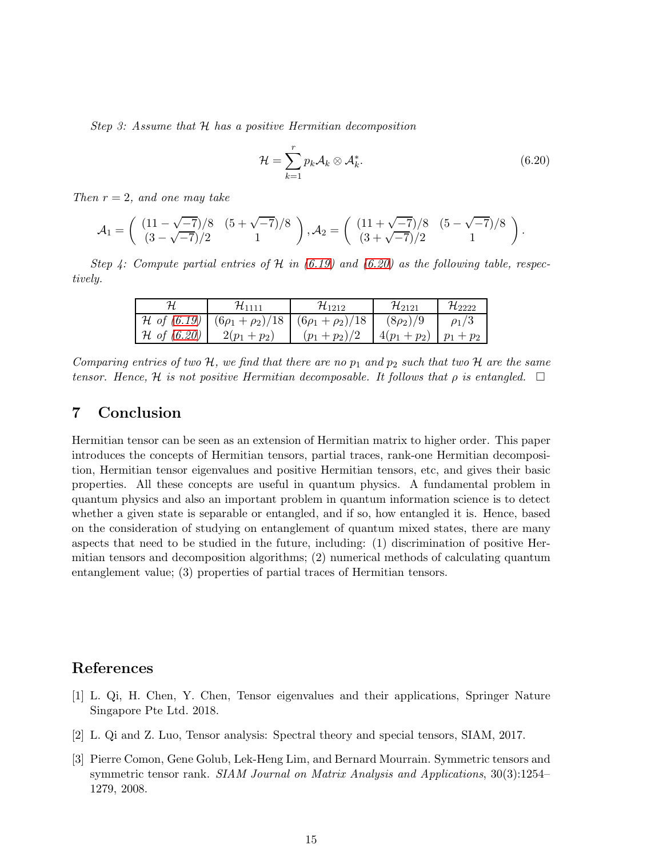Step 3: Assume that H has a positive Hermitian decomposition

<span id="page-14-3"></span>
$$
\mathcal{H} = \sum_{k=1}^{r} p_k \mathcal{A}_k \otimes \mathcal{A}_k^*.
$$
 (6.20)

Then  $r = 2$ , and one may take

$$
\mathcal{A}_1 = \begin{pmatrix} (11 - \sqrt{-7})/8 & (5 + \sqrt{-7})/8 \\ (3 - \sqrt{-7})/2 & 1 \end{pmatrix}, \mathcal{A}_2 = \begin{pmatrix} (11 + \sqrt{-7})/8 & (5 - \sqrt{-7})/8 \\ (3 + \sqrt{-7})/2 & 1 \end{pmatrix}.
$$

Step 4: Compute partial entries of H in  $(6.19)$  and  $(6.20)$  as the following table, respectively.

|                        | 71111                           | 711919                  | $\mathcal{H}_{2121}$ | $\mathcal{H}_{2222}$ |
|------------------------|---------------------------------|-------------------------|----------------------|----------------------|
| $\mathcal H$ of (6.19) | $(\frac{6\rho_1 + \rho_2}{18})$ | $(6\rho_1 + \rho_2)/18$ | $(8\rho_2)/9$        |                      |
| $\mathcal H$ of (6.20) | $2(p_1+p_2)$                    | $(p_1+p_2)/2$           | $4(p_1+p_2)$         | $+ p_2$              |

Comparing entries of two H, we find that there are no  $p_1$  and  $p_2$  such that two H are the same tensor. Hence, H is not positive Hermitian decomposable. It follows that  $\rho$  is entangled.  $\Box$ 

# 7 Conclusion

Hermitian tensor can be seen as an extension of Hermitian matrix to higher order. This paper introduces the concepts of Hermitian tensors, partial traces, rank-one Hermitian decomposition, Hermitian tensor eigenvalues and positive Hermitian tensors, etc, and gives their basic properties. All these concepts are useful in quantum physics. A fundamental problem in quantum physics and also an important problem in quantum information science is to detect whether a given state is separable or entangled, and if so, how entangled it is. Hence, based on the consideration of studying on entanglement of quantum mixed states, there are many aspects that need to be studied in the future, including: (1) discrimination of positive Hermitian tensors and decomposition algorithms; (2) numerical methods of calculating quantum entanglement value; (3) properties of partial traces of Hermitian tensors.

## <span id="page-14-0"></span>References

- [1] L. Qi, H. Chen, Y. Chen, Tensor eigenvalues and their applications, Springer Nature Singapore Pte Ltd. 2018.
- <span id="page-14-2"></span><span id="page-14-1"></span>[2] L. Qi and Z. Luo, Tensor analysis: Spectral theory and special tensors, SIAM, 2017.
- [3] Pierre Comon, Gene Golub, Lek-Heng Lim, and Bernard Mourrain. Symmetric tensors and symmetric tensor rank. SIAM Journal on Matrix Analysis and Applications, 30(3):1254– 1279, 2008.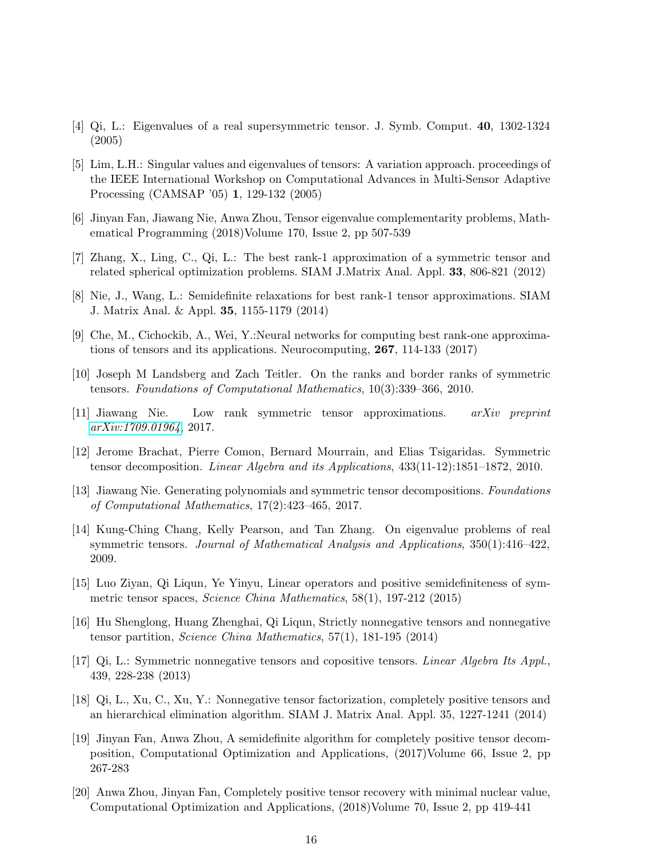- <span id="page-15-1"></span><span id="page-15-0"></span>[4] Qi, L.: Eigenvalues of a real supersymmetric tensor. J. Symb. Comput. 40, 1302-1324 (2005)
- [5] Lim, L.H.: Singular values and eigenvalues of tensors: A variation approach. proceedings of the IEEE International Workshop on Computational Advances in Multi-Sensor Adaptive Processing (CAMSAP '05) 1, 129-132 (2005)
- <span id="page-15-3"></span><span id="page-15-2"></span>[6] Jinyan Fan, Jiawang Nie, Anwa Zhou, Tensor eigenvalue complementarity problems, Mathematical Programming (2018)Volume 170, Issue 2, pp 507-539
- <span id="page-15-4"></span>[7] Zhang, X., Ling, C., Qi, L.: The best rank-1 approximation of a symmetric tensor and related spherical optimization problems. SIAM J.Matrix Anal. Appl. 33, 806-821 (2012)
- <span id="page-15-5"></span>[8] Nie, J., Wang, L.: Semidefinite relaxations for best rank-1 tensor approximations. SIAM J. Matrix Anal. & Appl. 35, 1155-1179 (2014)
- <span id="page-15-6"></span>[9] Che, M., Cichockib, A., Wei, Y.:Neural networks for computing best rank-one approximations of tensors and its applications. Neurocomputing, 267, 114-133 (2017)
- <span id="page-15-7"></span>[10] Joseph M Landsberg and Zach Teitler. On the ranks and border ranks of symmetric tensors. Foundations of Computational Mathematics, 10(3):339–366, 2010.
- <span id="page-15-8"></span>[11] Jiawang Nie. Low rank symmetric tensor approximations. arXiv preprint [arXiv:1709.01964](http://arxiv.org/abs/1709.01964), 2017.
- [12] Jerome Brachat, Pierre Comon, Bernard Mourrain, and Elias Tsigaridas. Symmetric tensor decomposition. Linear Algebra and its Applications, 433(11-12):1851–1872, 2010.
- <span id="page-15-9"></span>[13] Jiawang Nie. Generating polynomials and symmetric tensor decompositions. Foundations of Computational Mathematics, 17(2):423–465, 2017.
- <span id="page-15-10"></span>[14] Kung-Ching Chang, Kelly Pearson, and Tan Zhang. On eigenvalue problems of real symmetric tensors. Journal of Mathematical Analysis and Applications, 350(1):416–422, 2009.
- <span id="page-15-11"></span>[15] Luo Ziyan, Qi Liqun, Ye Yinyu, Linear operators and positive semidefiniteness of symmetric tensor spaces, Science China Mathematics, 58(1), 197-212 (2015)
- <span id="page-15-12"></span>[16] Hu Shenglong, Huang Zhenghai, Qi Liqun, Strictly nonnegative tensors and nonnegative tensor partition, Science China Mathematics, 57(1), 181-195 (2014)
- <span id="page-15-13"></span>[17] Qi, L.: Symmetric nonnegative tensors and copositive tensors. Linear Algebra Its Appl., 439, 228-238 (2013)
- <span id="page-15-14"></span>[18] Qi, L., Xu, C., Xu, Y.: Nonnegative tensor factorization, completely positive tensors and an hierarchical elimination algorithm. SIAM J. Matrix Anal. Appl. 35, 1227-1241 (2014)
- <span id="page-15-15"></span>[19] Jinyan Fan, Anwa Zhou, A semidefinite algorithm for completely positive tensor decomposition, Computational Optimization and Applications, (2017)Volume 66, Issue 2, pp 267-283
- <span id="page-15-16"></span>[20] Anwa Zhou, Jinyan Fan, Completely positive tensor recovery with minimal nuclear value, Computational Optimization and Applications, (2018)Volume 70, Issue 2, pp 419-441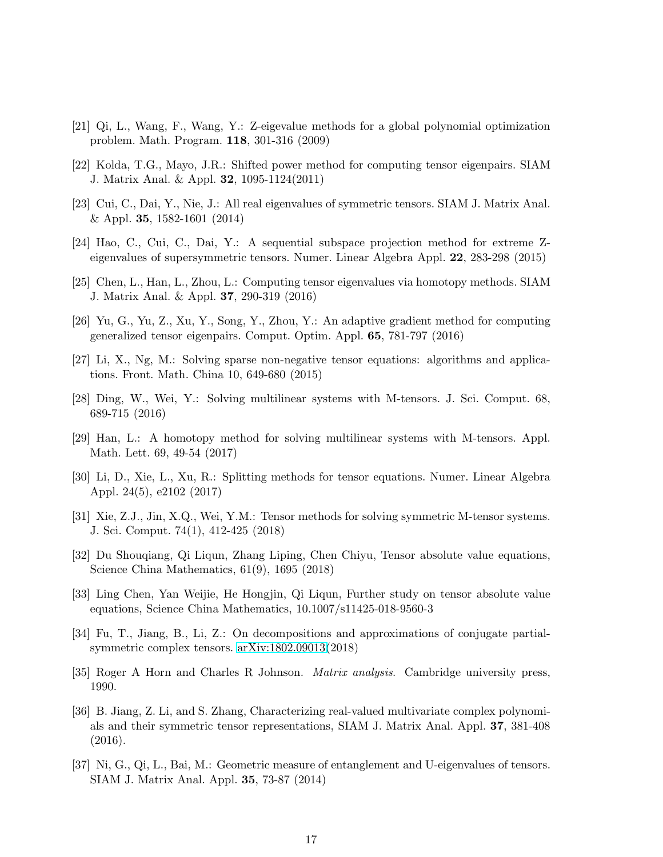- <span id="page-16-1"></span><span id="page-16-0"></span>[21] Qi, L., Wang, F., Wang, Y.: Z-eigevalue methods for a global polynomial optimization problem. Math. Program. 118, 301-316 (2009)
- <span id="page-16-2"></span>[22] Kolda, T.G., Mayo, J.R.: Shifted power method for computing tensor eigenpairs. SIAM J. Matrix Anal. & Appl. 32, 1095-1124(2011)
- <span id="page-16-3"></span>[23] Cui, C., Dai, Y., Nie, J.: All real eigenvalues of symmetric tensors. SIAM J. Matrix Anal. & Appl. 35, 1582-1601 (2014)
- <span id="page-16-4"></span>[24] Hao, C., Cui, C., Dai, Y.: A sequential subspace projection method for extreme Zeigenvalues of supersymmetric tensors. Numer. Linear Algebra Appl. 22, 283-298 (2015)
- <span id="page-16-5"></span>[25] Chen, L., Han, L., Zhou, L.: Computing tensor eigenvalues via homotopy methods. SIAM J. Matrix Anal. & Appl. 37, 290-319 (2016)
- <span id="page-16-6"></span>[26] Yu, G., Yu, Z., Xu, Y., Song, Y., Zhou, Y.: An adaptive gradient method for computing generalized tensor eigenpairs. Comput. Optim. Appl. 65, 781-797 (2016)
- <span id="page-16-7"></span>[27] Li, X., Ng, M.: Solving sparse non-negative tensor equations: algorithms and applications. Front. Math. China 10, 649-680 (2015)
- [28] Ding, W., Wei, Y.: Solving multilinear systems with M-tensors. J. Sci. Comput. 68, 689-715 (2016)
- <span id="page-16-8"></span>[29] Han, L.: A homotopy method for solving multilinear systems with M-tensors. Appl. Math. Lett. 69, 49-54 (2017)
- <span id="page-16-10"></span><span id="page-16-9"></span>[30] Li, D., Xie, L., Xu, R.: Splitting methods for tensor equations. Numer. Linear Algebra Appl. 24(5), e2102 (2017)
- <span id="page-16-11"></span>[31] Xie, Z.J., Jin, X.Q., Wei, Y.M.: Tensor methods for solving symmetric M-tensor systems. J. Sci. Comput. 74(1), 412-425 (2018)
- <span id="page-16-12"></span>[32] Du Shouqiang, Qi Liqun, Zhang Liping, Chen Chiyu, Tensor absolute value equations, Science China Mathematics, 61(9), 1695 (2018)
- [33] Ling Chen, Yan Weijie, He Hongjin, Qi Liqun, Further study on tensor absolute value equations, Science China Mathematics, 10.1007/s11425-018-9560-3
- <span id="page-16-13"></span>[34] Fu, T., Jiang, B., Li, Z.: On decompositions and approximations of conjugate partialsymmetric complex tensors. [arXiv:1802.09013\(](http://arxiv.org/abs/1802.09013)2018)
- <span id="page-16-15"></span><span id="page-16-14"></span>[35] Roger A Horn and Charles R Johnson. Matrix analysis. Cambridge university press, 1990.
- [36] B. Jiang, Z. Li, and S. Zhang, Characterizing real-valued multivariate complex polynomials and their symmetric tensor representations, SIAM J. Matrix Anal. Appl. 37, 381-408 (2016).
- <span id="page-16-16"></span>[37] Ni, G., Qi, L., Bai, M.: Geometric measure of entanglement and U-eigenvalues of tensors. SIAM J. Matrix Anal. Appl. 35, 73-87 (2014)